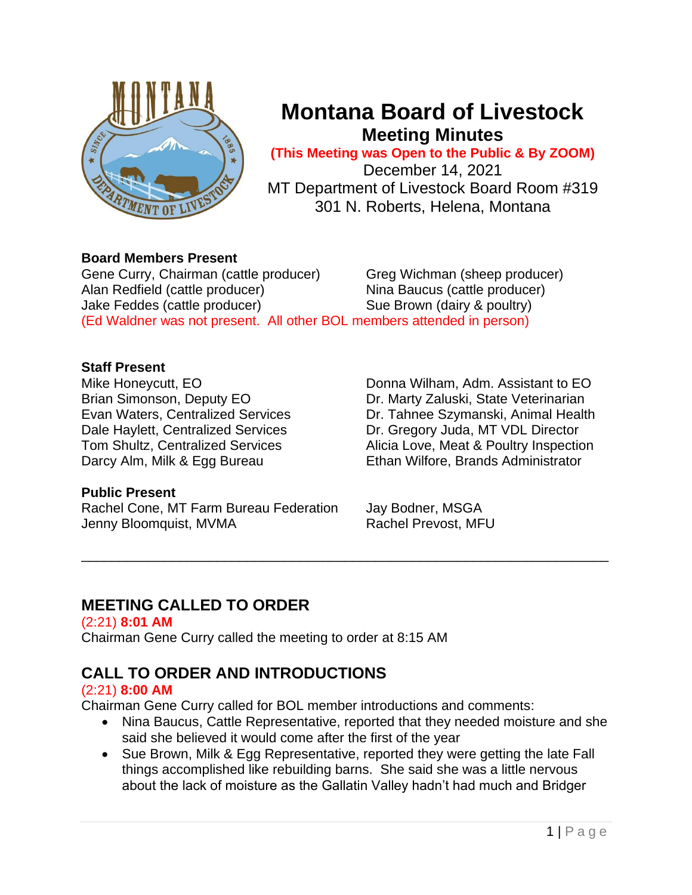

# **Montana Board of Livestock Meeting Minutes**

**(This Meeting was Open to the Public & By ZOOM)**

December 14, 2021 MT Department of Livestock Board Room #319 301 N. Roberts, Helena, Montana

# **Board Members Present**

Gene Curry, Chairman (cattle producer) Greg Wichman (sheep producer) Alan Redfield (cattle producer) Nina Baucus (cattle producer) Jake Feddes (cattle producer) Sue Brown (dairy & poultry) (Ed Waldner was not present. All other BOL members attended in person)

# **Staff Present**

Mike Honeycutt, EO **Donna Wilham, Adm. Assistant to EO** Brian Simonson, Deputy EO **Dr. Marty Zaluski, State Veterinarian** Evan Waters, Centralized Services Dr. Tahnee Szymanski, Animal Health Dale Haylett, Centralized Services Dr. Gregory Juda, MT VDL Director Tom Shultz, Centralized Services Alicia Love, Meat & Poultry Inspection Darcy Alm, Milk & Egg Bureau **Ethan Wilfore, Brands Administrator** 

# **Public Present**

Rachel Cone, MT Farm Bureau Federation Jay Bodner, MSGA Jenny Bloomquist, MVMA Rachel Prevost, MFU

# **MEETING CALLED TO ORDER**

(2:21) **8:01 AM** Chairman Gene Curry called the meeting to order at 8:15 AM

# **CALL TO ORDER AND INTRODUCTIONS**

### (2:21) **8:00 AM**

Chairman Gene Curry called for BOL member introductions and comments:

• Nina Baucus, Cattle Representative, reported that they needed moisture and she said she believed it would come after the first of the year

\_\_\_\_\_\_\_\_\_\_\_\_\_\_\_\_\_\_\_\_\_\_\_\_\_\_\_\_\_\_\_\_\_\_\_\_\_\_\_\_\_\_\_\_\_\_\_\_\_\_\_\_\_\_\_\_\_\_\_\_\_\_\_\_\_\_\_\_\_\_

• Sue Brown, Milk & Egg Representative, reported they were getting the late Fall things accomplished like rebuilding barns. She said she was a little nervous about the lack of moisture as the Gallatin Valley hadn't had much and Bridger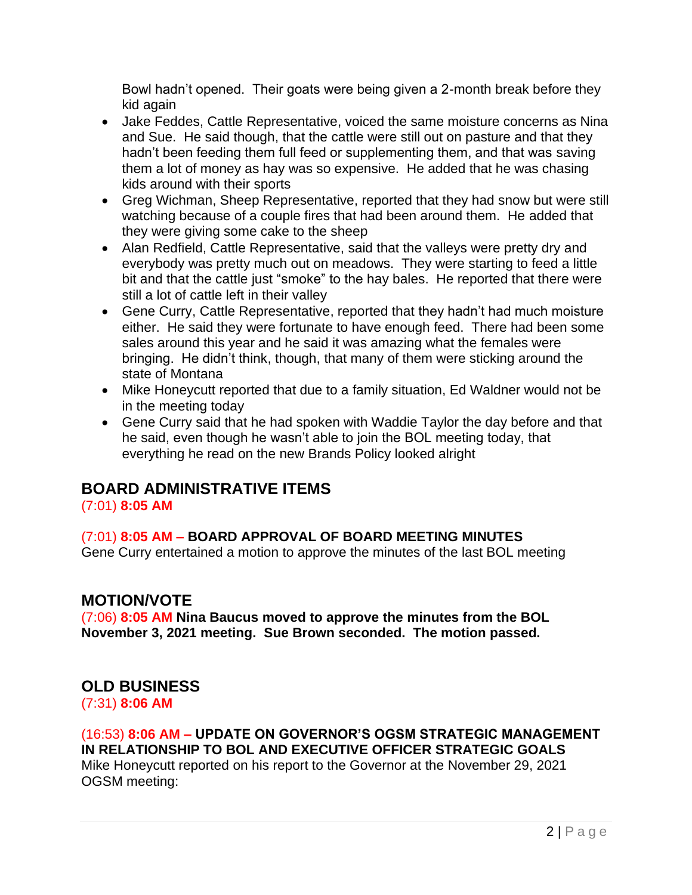Bowl hadn't opened. Their goats were being given a 2-month break before they kid again

- Jake Feddes, Cattle Representative, voiced the same moisture concerns as Nina and Sue. He said though, that the cattle were still out on pasture and that they hadn't been feeding them full feed or supplementing them, and that was saving them a lot of money as hay was so expensive. He added that he was chasing kids around with their sports
- Greg Wichman, Sheep Representative, reported that they had snow but were still watching because of a couple fires that had been around them. He added that they were giving some cake to the sheep
- Alan Redfield, Cattle Representative, said that the valleys were pretty dry and everybody was pretty much out on meadows. They were starting to feed a little bit and that the cattle just "smoke" to the hay bales. He reported that there were still a lot of cattle left in their valley
- Gene Curry, Cattle Representative, reported that they hadn't had much moisture either. He said they were fortunate to have enough feed. There had been some sales around this year and he said it was amazing what the females were bringing. He didn't think, though, that many of them were sticking around the state of Montana
- Mike Honeycutt reported that due to a family situation, Ed Waldner would not be in the meeting today
- Gene Curry said that he had spoken with Waddie Taylor the day before and that he said, even though he wasn't able to join the BOL meeting today, that everything he read on the new Brands Policy looked alright

# **BOARD ADMINISTRATIVE ITEMS**

### (7:01) **8:05 AM**

# (7:01) **8:05 AM – BOARD APPROVAL OF BOARD MEETING MINUTES**

Gene Curry entertained a motion to approve the minutes of the last BOL meeting

# **MOTION/VOTE**

(7:06) **8:05 AM Nina Baucus moved to approve the minutes from the BOL November 3, 2021 meeting. Sue Brown seconded. The motion passed.**

# **OLD BUSINESS**

(7:31) **8:06 AM**

# (16:53) **8:06 AM – UPDATE ON GOVERNOR'S OGSM STRATEGIC MANAGEMENT IN RELATIONSHIP TO BOL AND EXECUTIVE OFFICER STRATEGIC GOALS**

Mike Honeycutt reported on his report to the Governor at the November 29, 2021 OGSM meeting: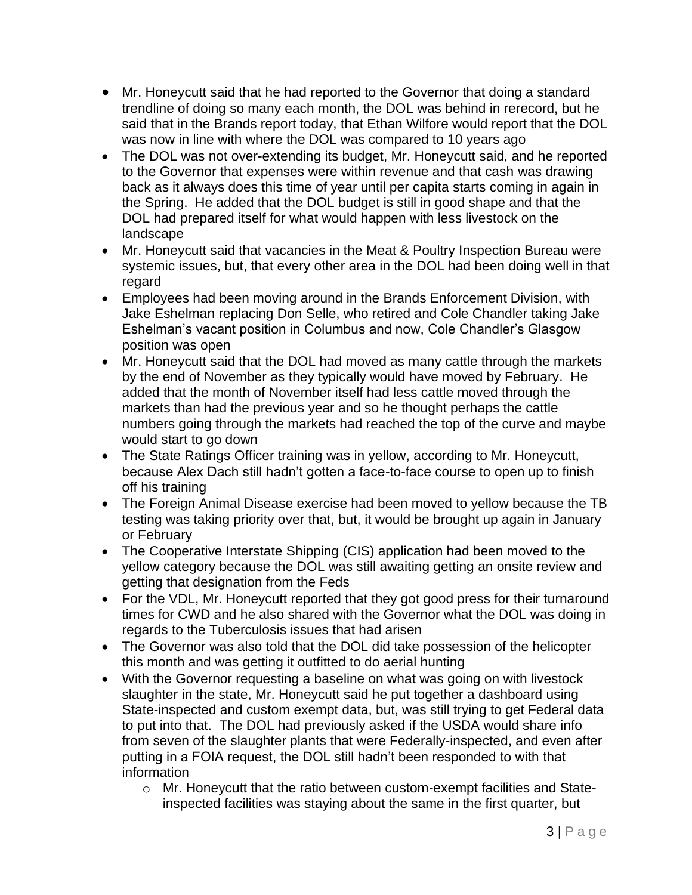- Mr. Honeycutt said that he had reported to the Governor that doing a standard trendline of doing so many each month, the DOL was behind in rerecord, but he said that in the Brands report today, that Ethan Wilfore would report that the DOL was now in line with where the DOL was compared to 10 years ago
- The DOL was not over-extending its budget, Mr. Honeycutt said, and he reported to the Governor that expenses were within revenue and that cash was drawing back as it always does this time of year until per capita starts coming in again in the Spring. He added that the DOL budget is still in good shape and that the DOL had prepared itself for what would happen with less livestock on the landscape
- Mr. Honeycutt said that vacancies in the Meat & Poultry Inspection Bureau were systemic issues, but, that every other area in the DOL had been doing well in that regard
- Employees had been moving around in the Brands Enforcement Division, with Jake Eshelman replacing Don Selle, who retired and Cole Chandler taking Jake Eshelman's vacant position in Columbus and now, Cole Chandler's Glasgow position was open
- Mr. Honeycutt said that the DOL had moved as many cattle through the markets by the end of November as they typically would have moved by February. He added that the month of November itself had less cattle moved through the markets than had the previous year and so he thought perhaps the cattle numbers going through the markets had reached the top of the curve and maybe would start to go down
- The State Ratings Officer training was in yellow, according to Mr. Honeycutt, because Alex Dach still hadn't gotten a face-to-face course to open up to finish off his training
- The Foreign Animal Disease exercise had been moved to yellow because the TB testing was taking priority over that, but, it would be brought up again in January or February
- The Cooperative Interstate Shipping (CIS) application had been moved to the yellow category because the DOL was still awaiting getting an onsite review and getting that designation from the Feds
- For the VDL, Mr. Honeycutt reported that they got good press for their turnaround times for CWD and he also shared with the Governor what the DOL was doing in regards to the Tuberculosis issues that had arisen
- The Governor was also told that the DOL did take possession of the helicopter this month and was getting it outfitted to do aerial hunting
- With the Governor requesting a baseline on what was going on with livestock slaughter in the state, Mr. Honeycutt said he put together a dashboard using State-inspected and custom exempt data, but, was still trying to get Federal data to put into that. The DOL had previously asked if the USDA would share info from seven of the slaughter plants that were Federally-inspected, and even after putting in a FOIA request, the DOL still hadn't been responded to with that information
	- o Mr. Honeycutt that the ratio between custom-exempt facilities and Stateinspected facilities was staying about the same in the first quarter, but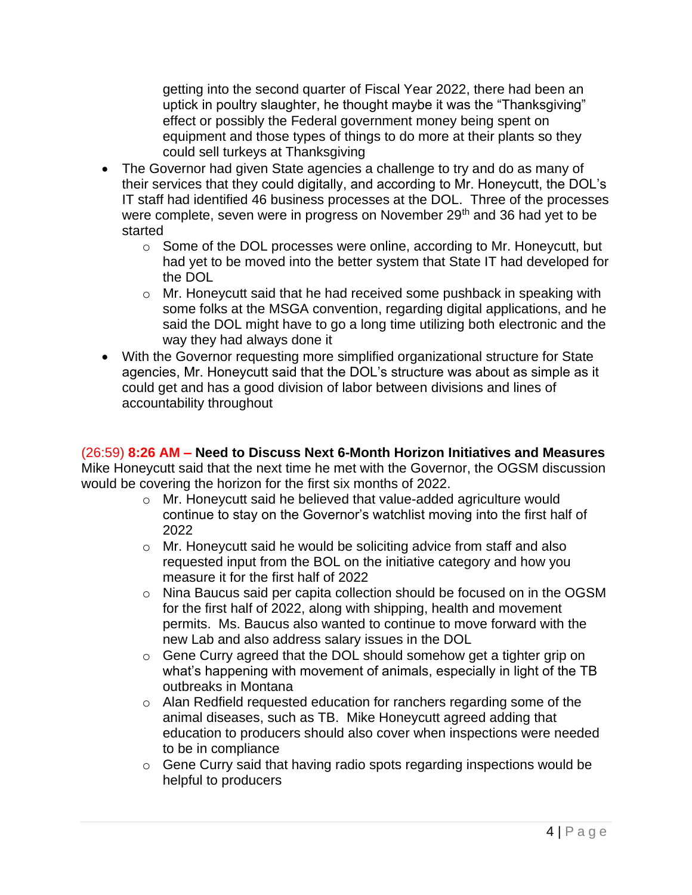getting into the second quarter of Fiscal Year 2022, there had been an uptick in poultry slaughter, he thought maybe it was the "Thanksgiving" effect or possibly the Federal government money being spent on equipment and those types of things to do more at their plants so they could sell turkeys at Thanksgiving

- The Governor had given State agencies a challenge to try and do as many of their services that they could digitally, and according to Mr. Honeycutt, the DOL's IT staff had identified 46 business processes at the DOL. Three of the processes were complete, seven were in progress on November 29<sup>th</sup> and 36 had yet to be started
	- o Some of the DOL processes were online, according to Mr. Honeycutt, but had yet to be moved into the better system that State IT had developed for the DOL
	- o Mr. Honeycutt said that he had received some pushback in speaking with some folks at the MSGA convention, regarding digital applications, and he said the DOL might have to go a long time utilizing both electronic and the way they had always done it
- With the Governor requesting more simplified organizational structure for State agencies, Mr. Honeycutt said that the DOL's structure was about as simple as it could get and has a good division of labor between divisions and lines of accountability throughout

# (26:59) **8:26 AM – Need to Discuss Next 6-Month Horizon Initiatives and Measures**

Mike Honeycutt said that the next time he met with the Governor, the OGSM discussion would be covering the horizon for the first six months of 2022.

- o Mr. Honeycutt said he believed that value-added agriculture would continue to stay on the Governor's watchlist moving into the first half of 2022
- o Mr. Honeycutt said he would be soliciting advice from staff and also requested input from the BOL on the initiative category and how you measure it for the first half of 2022
- o Nina Baucus said per capita collection should be focused on in the OGSM for the first half of 2022, along with shipping, health and movement permits. Ms. Baucus also wanted to continue to move forward with the new Lab and also address salary issues in the DOL
- o Gene Curry agreed that the DOL should somehow get a tighter grip on what's happening with movement of animals, especially in light of the TB outbreaks in Montana
- o Alan Redfield requested education for ranchers regarding some of the animal diseases, such as TB. Mike Honeycutt agreed adding that education to producers should also cover when inspections were needed to be in compliance
- o Gene Curry said that having radio spots regarding inspections would be helpful to producers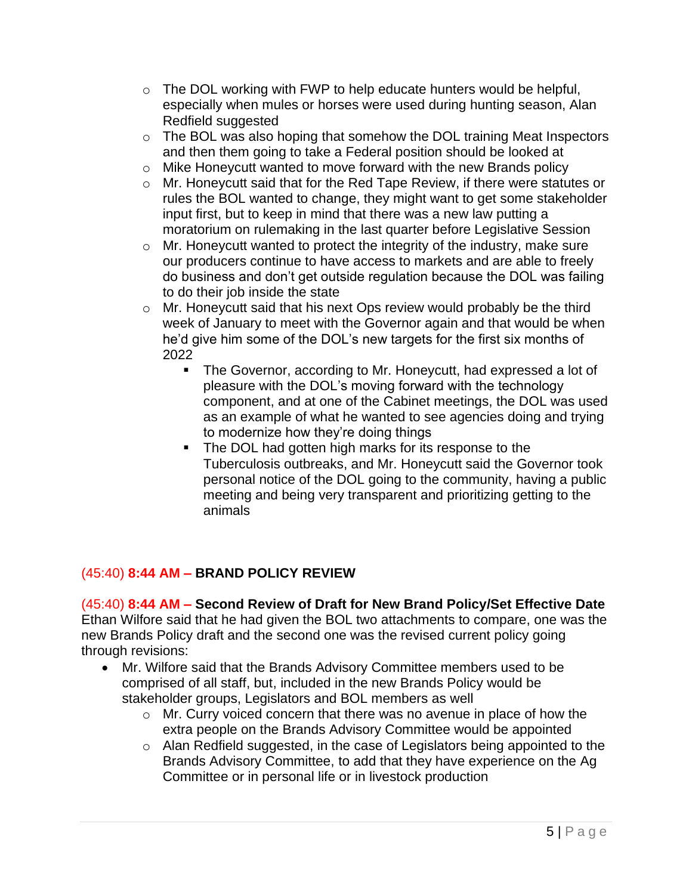- o The DOL working with FWP to help educate hunters would be helpful, especially when mules or horses were used during hunting season, Alan Redfield suggested
- o The BOL was also hoping that somehow the DOL training Meat Inspectors and then them going to take a Federal position should be looked at
- o Mike Honeycutt wanted to move forward with the new Brands policy
- o Mr. Honeycutt said that for the Red Tape Review, if there were statutes or rules the BOL wanted to change, they might want to get some stakeholder input first, but to keep in mind that there was a new law putting a moratorium on rulemaking in the last quarter before Legislative Session
- o Mr. Honeycutt wanted to protect the integrity of the industry, make sure our producers continue to have access to markets and are able to freely do business and don't get outside regulation because the DOL was failing to do their job inside the state
- o Mr. Honeycutt said that his next Ops review would probably be the third week of January to meet with the Governor again and that would be when he'd give him some of the DOL's new targets for the first six months of 2022
	- The Governor, according to Mr. Honeycutt, had expressed a lot of pleasure with the DOL's moving forward with the technology component, and at one of the Cabinet meetings, the DOL was used as an example of what he wanted to see agencies doing and trying to modernize how they're doing things
	- The DOL had gotten high marks for its response to the Tuberculosis outbreaks, and Mr. Honeycutt said the Governor took personal notice of the DOL going to the community, having a public meeting and being very transparent and prioritizing getting to the animals

# (45:40) **8:44 AM – BRAND POLICY REVIEW**

(45:40) **8:44 AM – Second Review of Draft for New Brand Policy/Set Effective Date** Ethan Wilfore said that he had given the BOL two attachments to compare, one was the new Brands Policy draft and the second one was the revised current policy going through revisions:

- Mr. Wilfore said that the Brands Advisory Committee members used to be comprised of all staff, but, included in the new Brands Policy would be stakeholder groups, Legislators and BOL members as well
	- o Mr. Curry voiced concern that there was no avenue in place of how the extra people on the Brands Advisory Committee would be appointed
	- o Alan Redfield suggested, in the case of Legislators being appointed to the Brands Advisory Committee, to add that they have experience on the Ag Committee or in personal life or in livestock production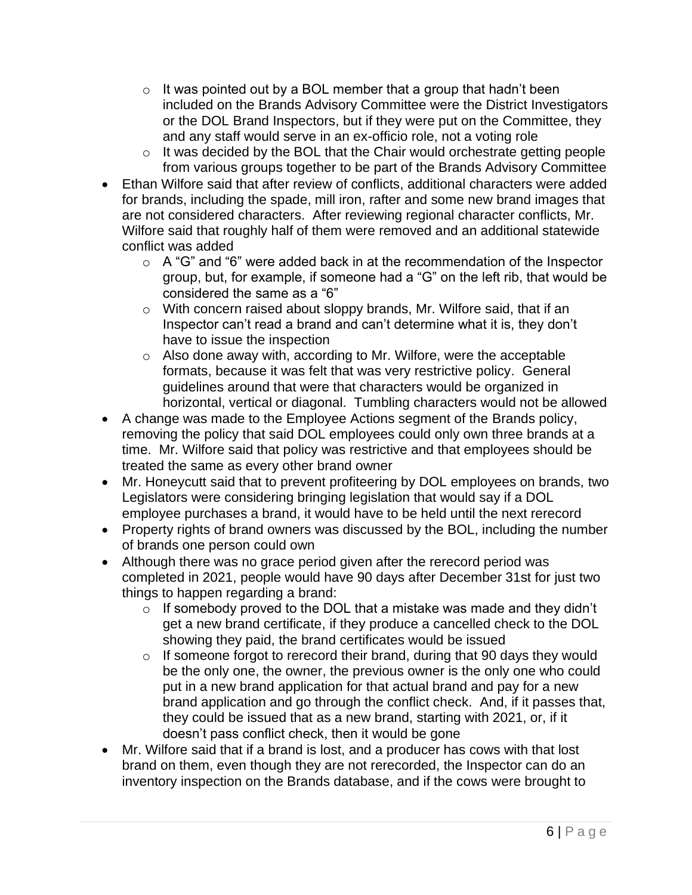- $\circ$  It was pointed out by a BOL member that a group that hadn't been included on the Brands Advisory Committee were the District Investigators or the DOL Brand Inspectors, but if they were put on the Committee, they and any staff would serve in an ex-officio role, not a voting role
- o It was decided by the BOL that the Chair would orchestrate getting people from various groups together to be part of the Brands Advisory Committee
- Ethan Wilfore said that after review of conflicts, additional characters were added for brands, including the spade, mill iron, rafter and some new brand images that are not considered characters. After reviewing regional character conflicts, Mr. Wilfore said that roughly half of them were removed and an additional statewide conflict was added
	- $\circ$  A "G" and "6" were added back in at the recommendation of the Inspector group, but, for example, if someone had a "G" on the left rib, that would be considered the same as a "6"
	- o With concern raised about sloppy brands, Mr. Wilfore said, that if an Inspector can't read a brand and can't determine what it is, they don't have to issue the inspection
	- o Also done away with, according to Mr. Wilfore, were the acceptable formats, because it was felt that was very restrictive policy. General guidelines around that were that characters would be organized in horizontal, vertical or diagonal. Tumbling characters would not be allowed
- A change was made to the Employee Actions segment of the Brands policy, removing the policy that said DOL employees could only own three brands at a time. Mr. Wilfore said that policy was restrictive and that employees should be treated the same as every other brand owner
- Mr. Honeycutt said that to prevent profiteering by DOL employees on brands, two Legislators were considering bringing legislation that would say if a DOL employee purchases a brand, it would have to be held until the next rerecord
- Property rights of brand owners was discussed by the BOL, including the number of brands one person could own
- Although there was no grace period given after the rerecord period was completed in 2021, people would have 90 days after December 31st for just two things to happen regarding a brand:
	- $\circ$  If somebody proved to the DOL that a mistake was made and they didn't get a new brand certificate, if they produce a cancelled check to the DOL showing they paid, the brand certificates would be issued
	- $\circ$  If someone forgot to rerecord their brand, during that 90 days they would be the only one, the owner, the previous owner is the only one who could put in a new brand application for that actual brand and pay for a new brand application and go through the conflict check. And, if it passes that, they could be issued that as a new brand, starting with 2021, or, if it doesn't pass conflict check, then it would be gone
- Mr. Wilfore said that if a brand is lost, and a producer has cows with that lost brand on them, even though they are not rerecorded, the Inspector can do an inventory inspection on the Brands database, and if the cows were brought to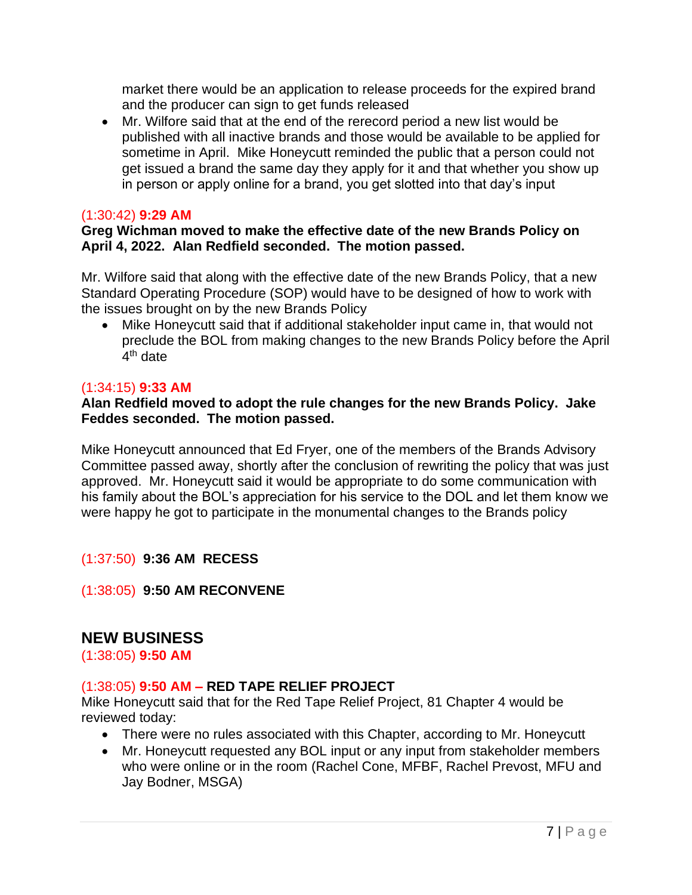market there would be an application to release proceeds for the expired brand and the producer can sign to get funds released

• Mr. Wilfore said that at the end of the rerecord period a new list would be published with all inactive brands and those would be available to be applied for sometime in April. Mike Honeycutt reminded the public that a person could not get issued a brand the same day they apply for it and that whether you show up in person or apply online for a brand, you get slotted into that day's input

#### (1:30:42) **9:29 AM**

#### **Greg Wichman moved to make the effective date of the new Brands Policy on April 4, 2022. Alan Redfield seconded. The motion passed.**

Mr. Wilfore said that along with the effective date of the new Brands Policy, that a new Standard Operating Procedure (SOP) would have to be designed of how to work with the issues brought on by the new Brands Policy

• Mike Honeycutt said that if additional stakeholder input came in, that would not preclude the BOL from making changes to the new Brands Policy before the April 4<sup>th</sup> date

#### (1:34:15) **9:33 AM**

#### **Alan Redfield moved to adopt the rule changes for the new Brands Policy. Jake Feddes seconded. The motion passed.**

Mike Honeycutt announced that Ed Fryer, one of the members of the Brands Advisory Committee passed away, shortly after the conclusion of rewriting the policy that was just approved. Mr. Honeycutt said it would be appropriate to do some communication with his family about the BOL's appreciation for his service to the DOL and let them know we were happy he got to participate in the monumental changes to the Brands policy

#### (1:37:50) **9:36 AM RECESS**

(1:38:05) **9:50 AM RECONVENE**

### **NEW BUSINESS**

(1:38:05) **9:50 AM**

#### (1:38:05) **9:50 AM – RED TAPE RELIEF PROJECT**

Mike Honeycutt said that for the Red Tape Relief Project, 81 Chapter 4 would be reviewed today:

- There were no rules associated with this Chapter, according to Mr. Honeycutt
- Mr. Honeycutt requested any BOL input or any input from stakeholder members who were online or in the room (Rachel Cone, MFBF, Rachel Prevost, MFU and Jay Bodner, MSGA)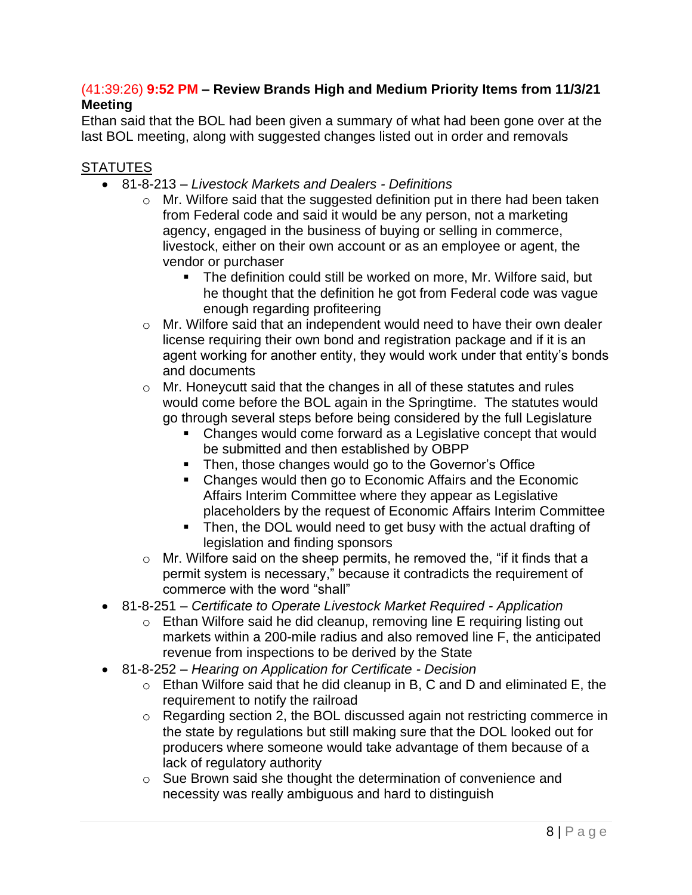### (41:39:26) **9:52 PM – Review Brands High and Medium Priority Items from 11/3/21 Meeting**

Ethan said that the BOL had been given a summary of what had been gone over at the last BOL meeting, along with suggested changes listed out in order and removals

### **STATUTES**

- 81-8-213 *Livestock Markets and Dealers - Definitions*
	- o Mr. Wilfore said that the suggested definition put in there had been taken from Federal code and said it would be any person, not a marketing agency, engaged in the business of buying or selling in commerce, livestock, either on their own account or as an employee or agent, the vendor or purchaser
		- The definition could still be worked on more, Mr. Wilfore said, but he thought that the definition he got from Federal code was vague enough regarding profiteering
	- o Mr. Wilfore said that an independent would need to have their own dealer license requiring their own bond and registration package and if it is an agent working for another entity, they would work under that entity's bonds and documents
	- o Mr. Honeycutt said that the changes in all of these statutes and rules would come before the BOL again in the Springtime. The statutes would go through several steps before being considered by the full Legislature
		- Changes would come forward as a Legislative concept that would be submitted and then established by OBPP
		- Then, those changes would go to the Governor's Office
		- Changes would then go to Economic Affairs and the Economic Affairs Interim Committee where they appear as Legislative placeholders by the request of Economic Affairs Interim Committee
		- Then, the DOL would need to get busy with the actual drafting of legislation and finding sponsors
	- $\circ$  Mr. Wilfore said on the sheep permits, he removed the, "if it finds that a permit system is necessary," because it contradicts the requirement of commerce with the word "shall"
- 81-8-251 *Certificate to Operate Livestock Market Required - Application*
	- o Ethan Wilfore said he did cleanup, removing line E requiring listing out markets within a 200-mile radius and also removed line F, the anticipated revenue from inspections to be derived by the State
- 81-8-252 *Hearing on Application for Certificate - Decision*
	- o Ethan Wilfore said that he did cleanup in B, C and D and eliminated E, the requirement to notify the railroad
	- o Regarding section 2, the BOL discussed again not restricting commerce in the state by regulations but still making sure that the DOL looked out for producers where someone would take advantage of them because of a lack of regulatory authority
	- o Sue Brown said she thought the determination of convenience and necessity was really ambiguous and hard to distinguish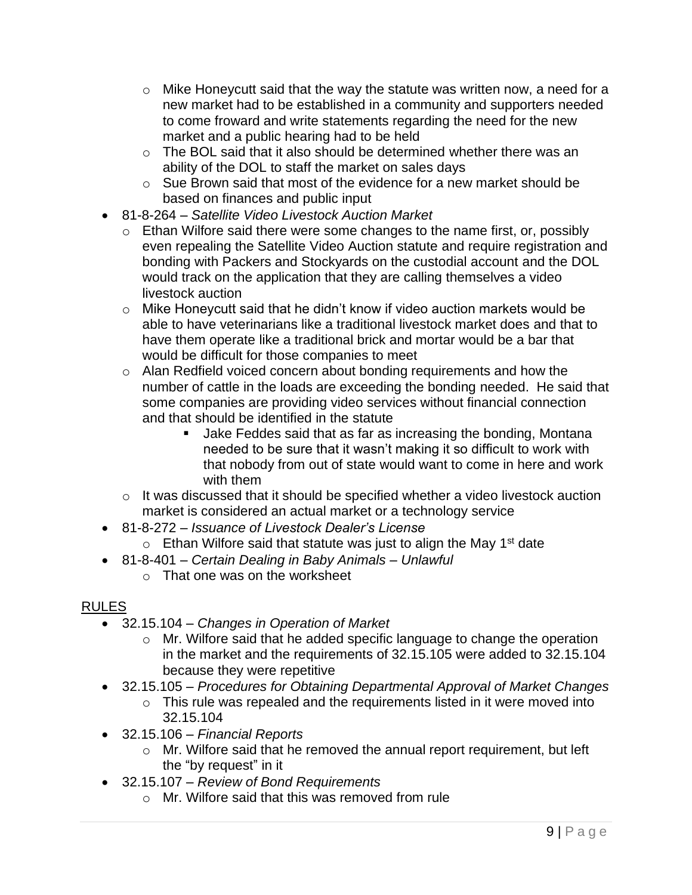- $\circ$  Mike Honeycutt said that the way the statute was written now, a need for a new market had to be established in a community and supporters needed to come froward and write statements regarding the need for the new market and a public hearing had to be held
- o The BOL said that it also should be determined whether there was an ability of the DOL to staff the market on sales days
- o Sue Brown said that most of the evidence for a new market should be based on finances and public input
- 81-8-264 *Satellite Video Livestock Auction Market*
	- o Ethan Wilfore said there were some changes to the name first, or, possibly even repealing the Satellite Video Auction statute and require registration and bonding with Packers and Stockyards on the custodial account and the DOL would track on the application that they are calling themselves a video livestock auction
	- o Mike Honeycutt said that he didn't know if video auction markets would be able to have veterinarians like a traditional livestock market does and that to have them operate like a traditional brick and mortar would be a bar that would be difficult for those companies to meet
	- o Alan Redfield voiced concern about bonding requirements and how the number of cattle in the loads are exceeding the bonding needed. He said that some companies are providing video services without financial connection and that should be identified in the statute
		- Jake Feddes said that as far as increasing the bonding, Montana needed to be sure that it wasn't making it so difficult to work with that nobody from out of state would want to come in here and work with them
	- $\circ$  It was discussed that it should be specified whether a video livestock auction market is considered an actual market or a technology service
- 81-8-272 *Issuance of Livestock Dealer's License*
	- $\circ$  Ethan Wilfore said that statute was just to align the May 1<sup>st</sup> date
- 81-8-401 *Certain Dealing in Baby Animals – Unlawful*
	- o That one was on the worksheet

# RULES

- 32.15.104 *Changes in Operation of Market*
	- o Mr. Wilfore said that he added specific language to change the operation in the market and the requirements of 32.15.105 were added to 32.15.104 because they were repetitive
- 32.15.105 *Procedures for Obtaining Departmental Approval of Market Changes*
	- $\circ$  This rule was repealed and the requirements listed in it were moved into 32.15.104
- 32.15.106 *Financial Reports*
	- o Mr. Wilfore said that he removed the annual report requirement, but left the "by request" in it
- 32.15.107 *Review of Bond Requirements*
	- o Mr. Wilfore said that this was removed from rule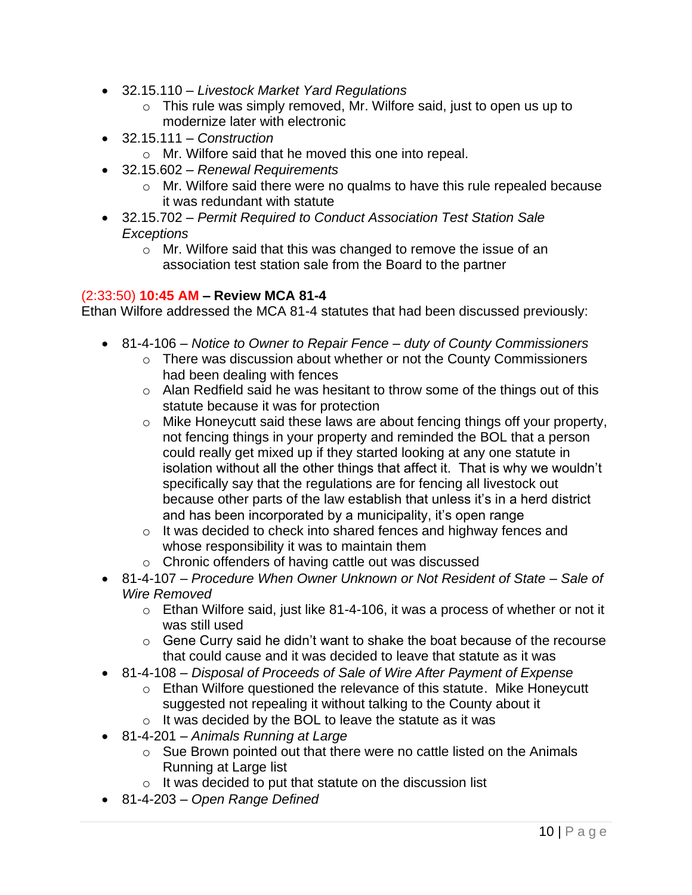- 32.15.110 *Livestock Market Yard Regulations*
	- o This rule was simply removed, Mr. Wilfore said, just to open us up to modernize later with electronic
- 32.15.111 *Construction*
	- o Mr. Wilfore said that he moved this one into repeal.
- 32.15.602 *Renewal Requirements*
	- o Mr. Wilfore said there were no qualms to have this rule repealed because it was redundant with statute
- 32.15.702 *Permit Required to Conduct Association Test Station Sale Exceptions*
	- o Mr. Wilfore said that this was changed to remove the issue of an association test station sale from the Board to the partner

#### (2:33:50) **10:45 AM – Review MCA 81-4**

Ethan Wilfore addressed the MCA 81-4 statutes that had been discussed previously:

- 81-4-106 *Notice to Owner to Repair Fence – duty of County Commissioners*
	- o There was discussion about whether or not the County Commissioners had been dealing with fences
	- o Alan Redfield said he was hesitant to throw some of the things out of this statute because it was for protection
	- o Mike Honeycutt said these laws are about fencing things off your property, not fencing things in your property and reminded the BOL that a person could really get mixed up if they started looking at any one statute in isolation without all the other things that affect it. That is why we wouldn't specifically say that the regulations are for fencing all livestock out because other parts of the law establish that unless it's in a herd district and has been incorporated by a municipality, it's open range
	- o It was decided to check into shared fences and highway fences and whose responsibility it was to maintain them
	- o Chronic offenders of having cattle out was discussed
- 81-4-107 *Procedure When Owner Unknown or Not Resident of State – Sale of Wire Removed*
	- o Ethan Wilfore said, just like 81-4-106, it was a process of whether or not it was still used
	- $\circ$  Gene Curry said he didn't want to shake the boat because of the recourse that could cause and it was decided to leave that statute as it was
- 81-4-108 *Disposal of Proceeds of Sale of Wire After Payment of Expense*
	- o Ethan Wilfore questioned the relevance of this statute. Mike Honeycutt suggested not repealing it without talking to the County about it
	- $\circ$  It was decided by the BOL to leave the statute as it was
- 81-4-201 *Animals Running at Large*
	- o Sue Brown pointed out that there were no cattle listed on the Animals Running at Large list
	- $\circ$  It was decided to put that statute on the discussion list
- 81-4-203 *Open Range Defined*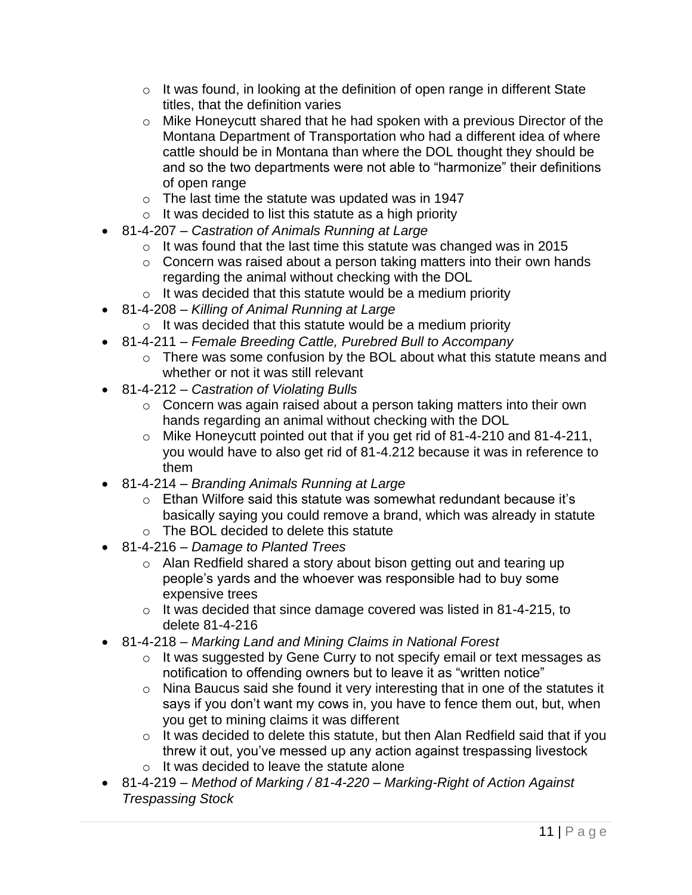- $\circ$  It was found, in looking at the definition of open range in different State titles, that the definition varies
- o Mike Honeycutt shared that he had spoken with a previous Director of the Montana Department of Transportation who had a different idea of where cattle should be in Montana than where the DOL thought they should be and so the two departments were not able to "harmonize" their definitions of open range
- $\circ$  The last time the statute was updated was in 1947
- $\circ$  It was decided to list this statute as a high priority
- 81-4-207 *Castration of Animals Running at Large*
	- $\circ$  It was found that the last time this statute was changed was in 2015
	- o Concern was raised about a person taking matters into their own hands regarding the animal without checking with the DOL
	- $\circ$  It was decided that this statute would be a medium priority
- 81-4-208 *Killing of Animal Running at Large*
	- $\circ$  It was decided that this statute would be a medium priority
- 81-4-211 *Female Breeding Cattle, Purebred Bull to Accompany*
	- o There was some confusion by the BOL about what this statute means and whether or not it was still relevant
- 81-4-212 *Castration of Violating Bulls*
	- o Concern was again raised about a person taking matters into their own hands regarding an animal without checking with the DOL
	- o Mike Honeycutt pointed out that if you get rid of 81-4-210 and 81-4-211, you would have to also get rid of 81-4.212 because it was in reference to them
- 81-4-214 *Branding Animals Running at Large*
	- $\circ$  Ethan Wilfore said this statute was somewhat redundant because it's basically saying you could remove a brand, which was already in statute
	- o The BOL decided to delete this statute
- 81-4-216 *Damage to Planted Trees*
	- o Alan Redfield shared a story about bison getting out and tearing up people's yards and the whoever was responsible had to buy some expensive trees
	- o It was decided that since damage covered was listed in 81-4-215, to delete 81-4-216
- 81-4-218 *Marking Land and Mining Claims in National Forest*
	- o It was suggested by Gene Curry to not specify email or text messages as notification to offending owners but to leave it as "written notice"
	- o Nina Baucus said she found it very interesting that in one of the statutes it says if you don't want my cows in, you have to fence them out, but, when you get to mining claims it was different
	- o It was decided to delete this statute, but then Alan Redfield said that if you threw it out, you've messed up any action against trespassing livestock o It was decided to leave the statute alone
- 81-4-219 *Method of Marking / 81-4-220 – Marking-Right of Action Against Trespassing Stock*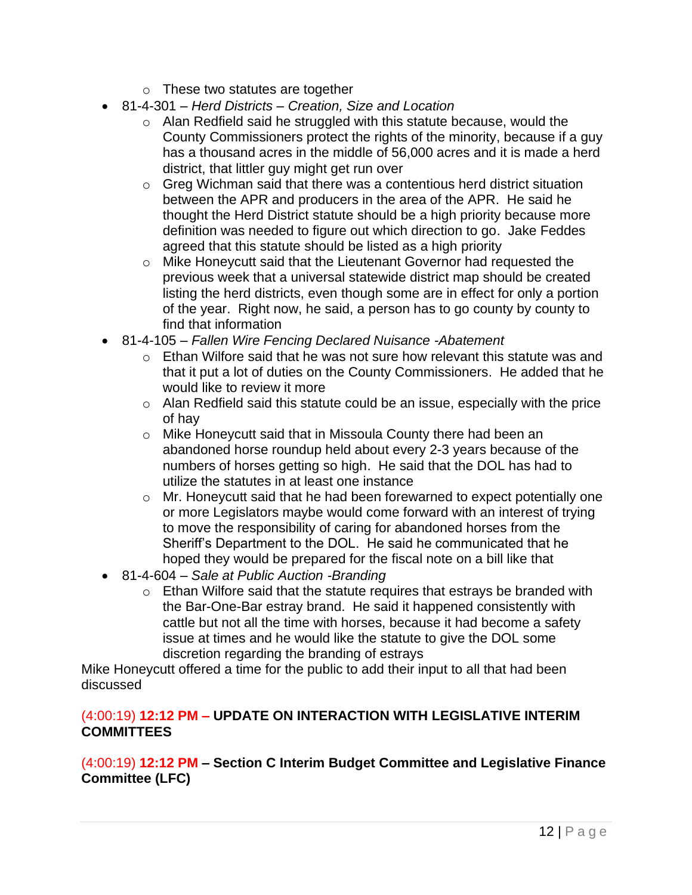- o These two statutes are together
- 81-4-301 *Herd Districts – Creation, Size and Location* 
	- o Alan Redfield said he struggled with this statute because, would the County Commissioners protect the rights of the minority, because if a guy has a thousand acres in the middle of 56,000 acres and it is made a herd district, that littler guy might get run over
	- o Greg Wichman said that there was a contentious herd district situation between the APR and producers in the area of the APR. He said he thought the Herd District statute should be a high priority because more definition was needed to figure out which direction to go. Jake Feddes agreed that this statute should be listed as a high priority
	- o Mike Honeycutt said that the Lieutenant Governor had requested the previous week that a universal statewide district map should be created listing the herd districts, even though some are in effect for only a portion of the year. Right now, he said, a person has to go county by county to find that information
- 81-4-105 *Fallen Wire Fencing Declared Nuisance -Abatement* 
	- $\circ$  Ethan Wilfore said that he was not sure how relevant this statute was and that it put a lot of duties on the County Commissioners. He added that he would like to review it more
	- o Alan Redfield said this statute could be an issue, especially with the price of hay
	- o Mike Honeycutt said that in Missoula County there had been an abandoned horse roundup held about every 2-3 years because of the numbers of horses getting so high. He said that the DOL has had to utilize the statutes in at least one instance
	- o Mr. Honeycutt said that he had been forewarned to expect potentially one or more Legislators maybe would come forward with an interest of trying to move the responsibility of caring for abandoned horses from the Sheriff's Department to the DOL. He said he communicated that he hoped they would be prepared for the fiscal note on a bill like that
- 81-4-604 *Sale at Public Auction -Branding* 
	- o Ethan Wilfore said that the statute requires that estrays be branded with the Bar-One-Bar estray brand. He said it happened consistently with cattle but not all the time with horses, because it had become a safety issue at times and he would like the statute to give the DOL some discretion regarding the branding of estrays

Mike Honeycutt offered a time for the public to add their input to all that had been discussed

### (4:00:19) **12:12 PM – UPDATE ON INTERACTION WITH LEGISLATIVE INTERIM COMMITTEES**

(4:00:19) **12:12 PM – Section C Interim Budget Committee and Legislative Finance Committee (LFC)**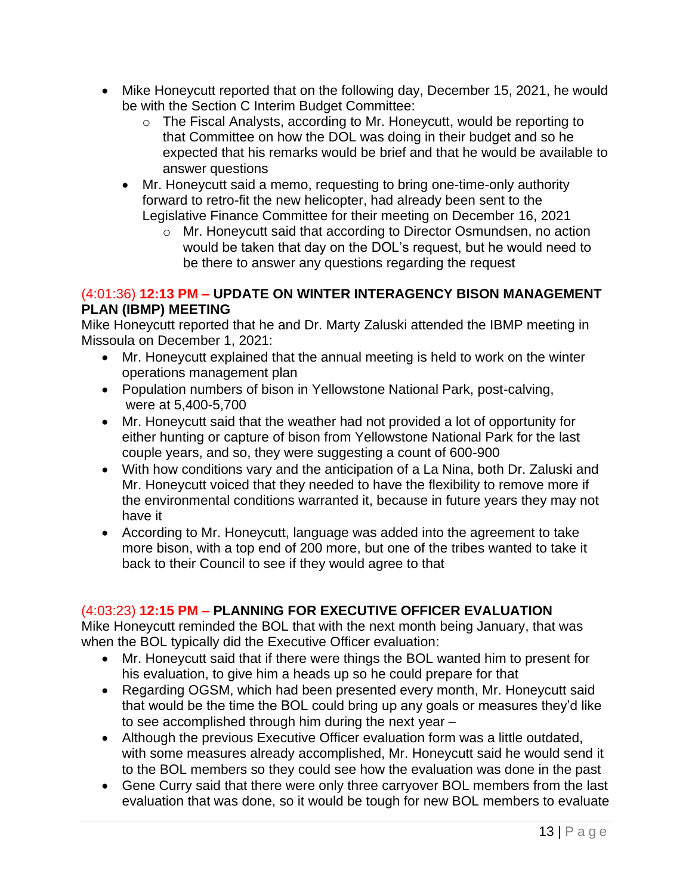- Mike Honeycutt reported that on the following day, December 15, 2021, he would be with the Section C Interim Budget Committee:
	- o The Fiscal Analysts, according to Mr. Honeycutt, would be reporting to that Committee on how the DOL was doing in their budget and so he expected that his remarks would be brief and that he would be available to answer questions
	- Mr. Honeycutt said a memo, requesting to bring one-time-only authority forward to retro-fit the new helicopter, had already been sent to the Legislative Finance Committee for their meeting on December 16, 2021
		- o Mr. Honeycutt said that according to Director Osmundsen, no action would be taken that day on the DOL's request, but he would need to be there to answer any questions regarding the request

# (4:01:36) **12:13 PM – UPDATE ON WINTER INTERAGENCY BISON MANAGEMENT PLAN (IBMP) MEETING**

Mike Honeycutt reported that he and Dr. Marty Zaluski attended the IBMP meeting in Missoula on December 1, 2021:

- Mr. Honeycutt explained that the annual meeting is held to work on the winter operations management plan
- Population numbers of bison in Yellowstone National Park, post-calving, were at 5,400-5,700
- Mr. Honeycutt said that the weather had not provided a lot of opportunity for either hunting or capture of bison from Yellowstone National Park for the last couple years, and so, they were suggesting a count of 600-900
- With how conditions vary and the anticipation of a La Nina, both Dr. Zaluski and Mr. Honeycutt voiced that they needed to have the flexibility to remove more if the environmental conditions warranted it, because in future years they may not have it
- According to Mr. Honeycutt, language was added into the agreement to take more bison, with a top end of 200 more, but one of the tribes wanted to take it back to their Council to see if they would agree to that

# (4:03:23) **12:15 PM – PLANNING FOR EXECUTIVE OFFICER EVALUATION**

Mike Honeycutt reminded the BOL that with the next month being January, that was when the BOL typically did the Executive Officer evaluation:

- Mr. Honeycutt said that if there were things the BOL wanted him to present for his evaluation, to give him a heads up so he could prepare for that
- Regarding OGSM, which had been presented every month, Mr. Honeycutt said that would be the time the BOL could bring up any goals or measures they'd like to see accomplished through him during the next year –
- Although the previous Executive Officer evaluation form was a little outdated, with some measures already accomplished, Mr. Honeycutt said he would send it to the BOL members so they could see how the evaluation was done in the past
- Gene Curry said that there were only three carryover BOL members from the last evaluation that was done, so it would be tough for new BOL members to evaluate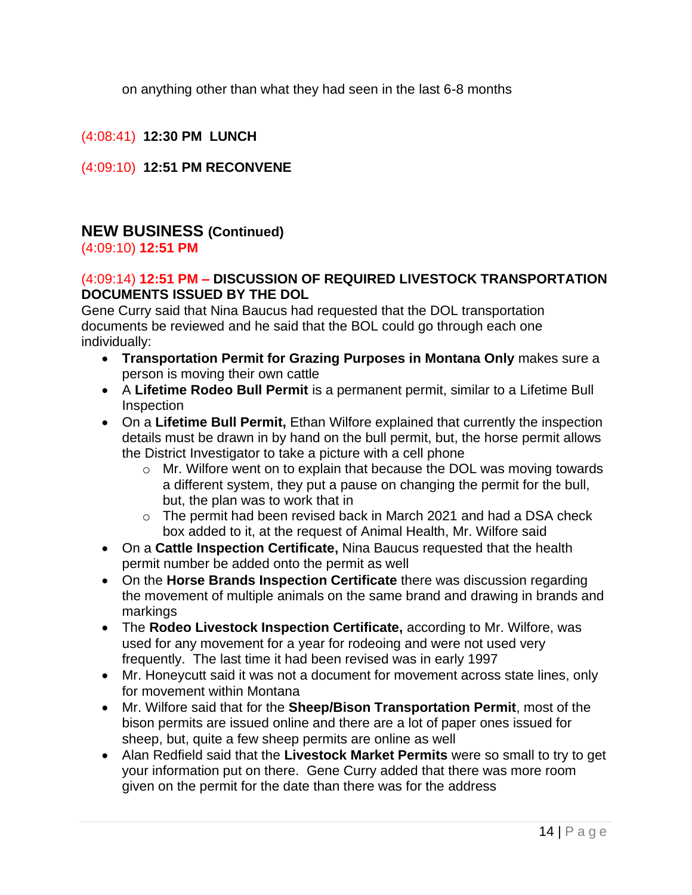on anything other than what they had seen in the last 6-8 months

(4:08:41) **12:30 PM LUNCH**

(4:09:10) **12:51 PM RECONVENE**

# **NEW BUSINESS (Continued)**

(4:09:10) **12:51 PM**

### (4:09:14) **12:51 PM – DISCUSSION OF REQUIRED LIVESTOCK TRANSPORTATION DOCUMENTS ISSUED BY THE DOL**

Gene Curry said that Nina Baucus had requested that the DOL transportation documents be reviewed and he said that the BOL could go through each one individually:

- **Transportation Permit for Grazing Purposes in Montana Only** makes sure a person is moving their own cattle
- A **Lifetime Rodeo Bull Permit** is a permanent permit, similar to a Lifetime Bull Inspection
- On a **Lifetime Bull Permit,** Ethan Wilfore explained that currently the inspection details must be drawn in by hand on the bull permit, but, the horse permit allows the District Investigator to take a picture with a cell phone
	- o Mr. Wilfore went on to explain that because the DOL was moving towards a different system, they put a pause on changing the permit for the bull, but, the plan was to work that in
	- o The permit had been revised back in March 2021 and had a DSA check box added to it, at the request of Animal Health, Mr. Wilfore said
- On a **Cattle Inspection Certificate,** Nina Baucus requested that the health permit number be added onto the permit as well
- On the **Horse Brands Inspection Certificate** there was discussion regarding the movement of multiple animals on the same brand and drawing in brands and markings
- The **Rodeo Livestock Inspection Certificate,** according to Mr. Wilfore, was used for any movement for a year for rodeoing and were not used very frequently. The last time it had been revised was in early 1997
- Mr. Honeycutt said it was not a document for movement across state lines, only for movement within Montana
- Mr. Wilfore said that for the **Sheep/Bison Transportation Permit**, most of the bison permits are issued online and there are a lot of paper ones issued for sheep, but, quite a few sheep permits are online as well
- Alan Redfield said that the **Livestock Market Permits** were so small to try to get your information put on there. Gene Curry added that there was more room given on the permit for the date than there was for the address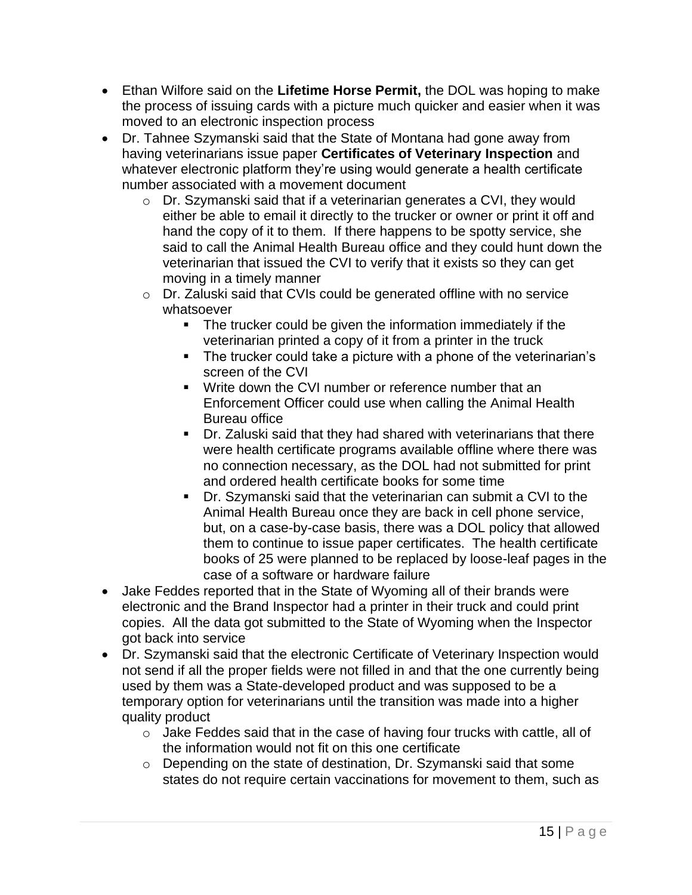- Ethan Wilfore said on the **Lifetime Horse Permit,** the DOL was hoping to make the process of issuing cards with a picture much quicker and easier when it was moved to an electronic inspection process
- Dr. Tahnee Szymanski said that the State of Montana had gone away from having veterinarians issue paper **Certificates of Veterinary Inspection** and whatever electronic platform they're using would generate a health certificate number associated with a movement document
	- o Dr. Szymanski said that if a veterinarian generates a CVI, they would either be able to email it directly to the trucker or owner or print it off and hand the copy of it to them. If there happens to be spotty service, she said to call the Animal Health Bureau office and they could hunt down the veterinarian that issued the CVI to verify that it exists so they can get moving in a timely manner
	- o Dr. Zaluski said that CVIs could be generated offline with no service whatsoever
		- The trucker could be given the information immediately if the veterinarian printed a copy of it from a printer in the truck
		- The trucker could take a picture with a phone of the veterinarian's screen of the CVI
		- Write down the CVI number or reference number that an Enforcement Officer could use when calling the Animal Health Bureau office
		- Dr. Zaluski said that they had shared with veterinarians that there were health certificate programs available offline where there was no connection necessary, as the DOL had not submitted for print and ordered health certificate books for some time
		- Dr. Szymanski said that the veterinarian can submit a CVI to the Animal Health Bureau once they are back in cell phone service, but, on a case-by-case basis, there was a DOL policy that allowed them to continue to issue paper certificates. The health certificate books of 25 were planned to be replaced by loose-leaf pages in the case of a software or hardware failure
- Jake Feddes reported that in the State of Wyoming all of their brands were electronic and the Brand Inspector had a printer in their truck and could print copies. All the data got submitted to the State of Wyoming when the Inspector got back into service
- Dr. Szymanski said that the electronic Certificate of Veterinary Inspection would not send if all the proper fields were not filled in and that the one currently being used by them was a State-developed product and was supposed to be a temporary option for veterinarians until the transition was made into a higher quality product
	- o Jake Feddes said that in the case of having four trucks with cattle, all of the information would not fit on this one certificate
	- o Depending on the state of destination, Dr. Szymanski said that some states do not require certain vaccinations for movement to them, such as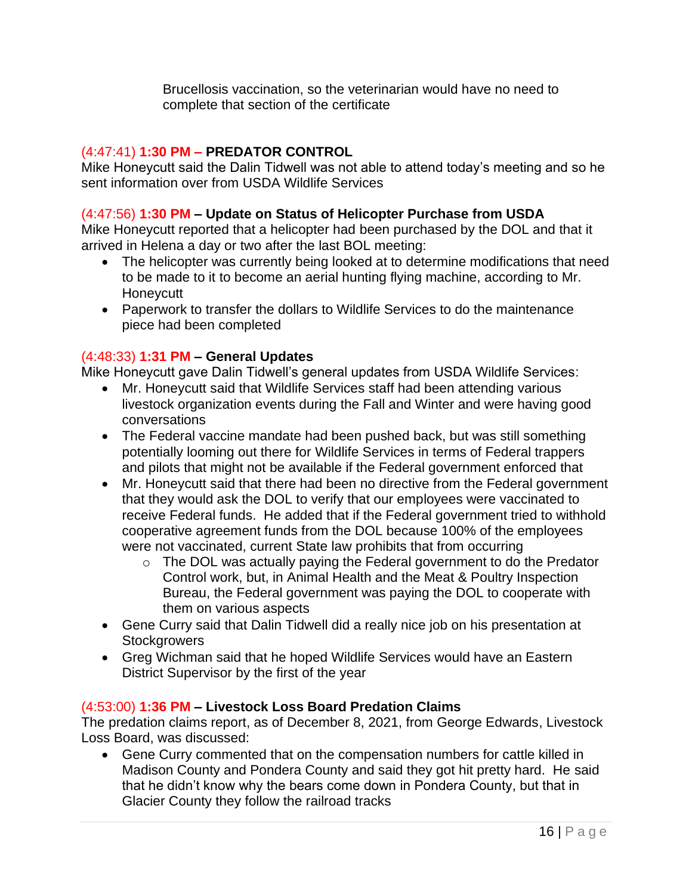Brucellosis vaccination, so the veterinarian would have no need to complete that section of the certificate

### (4:47:41) **1:30 PM – PREDATOR CONTROL**

Mike Honeycutt said the Dalin Tidwell was not able to attend today's meeting and so he sent information over from USDA Wildlife Services

#### (4:47:56) **1:30 PM – Update on Status of Helicopter Purchase from USDA**

Mike Honeycutt reported that a helicopter had been purchased by the DOL and that it arrived in Helena a day or two after the last BOL meeting:

- The helicopter was currently being looked at to determine modifications that need to be made to it to become an aerial hunting flying machine, according to Mr. **Honeycutt**
- Paperwork to transfer the dollars to Wildlife Services to do the maintenance piece had been completed

#### (4:48:33) **1:31 PM – General Updates**

Mike Honeycutt gave Dalin Tidwell's general updates from USDA Wildlife Services:

- Mr. Honeycutt said that Wildlife Services staff had been attending various livestock organization events during the Fall and Winter and were having good conversations
- The Federal vaccine mandate had been pushed back, but was still something potentially looming out there for Wildlife Services in terms of Federal trappers and pilots that might not be available if the Federal government enforced that
- Mr. Honeycutt said that there had been no directive from the Federal government that they would ask the DOL to verify that our employees were vaccinated to receive Federal funds. He added that if the Federal government tried to withhold cooperative agreement funds from the DOL because 100% of the employees were not vaccinated, current State law prohibits that from occurring
	- o The DOL was actually paying the Federal government to do the Predator Control work, but, in Animal Health and the Meat & Poultry Inspection Bureau, the Federal government was paying the DOL to cooperate with them on various aspects
- Gene Curry said that Dalin Tidwell did a really nice job on his presentation at **Stockgrowers**
- Greg Wichman said that he hoped Wildlife Services would have an Eastern District Supervisor by the first of the year

#### (4:53:00) **1:36 PM – Livestock Loss Board Predation Claims**

The predation claims report, as of December 8, 2021, from George Edwards, Livestock Loss Board, was discussed:

• Gene Curry commented that on the compensation numbers for cattle killed in Madison County and Pondera County and said they got hit pretty hard. He said that he didn't know why the bears come down in Pondera County, but that in Glacier County they follow the railroad tracks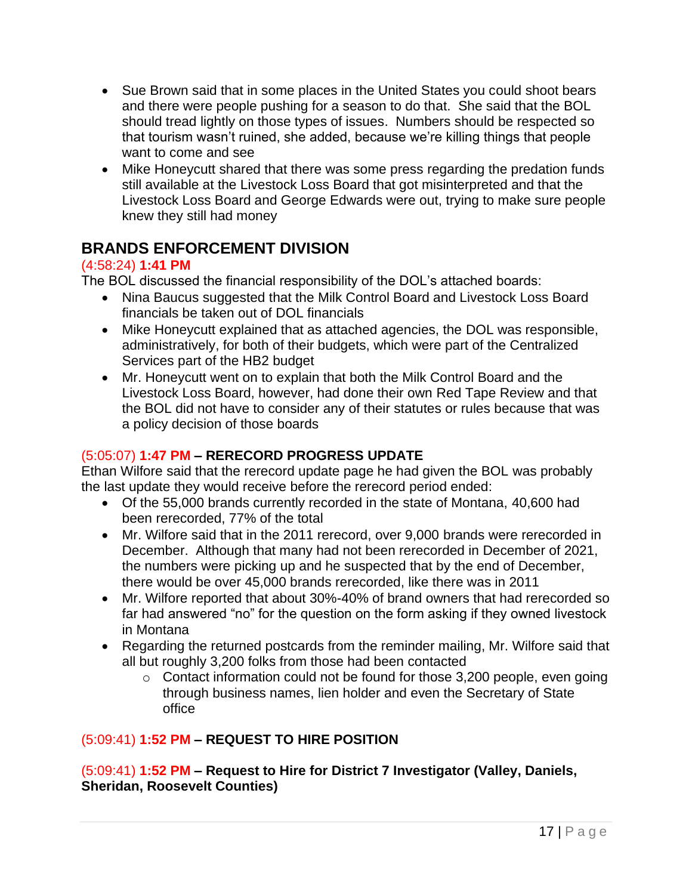- Sue Brown said that in some places in the United States you could shoot bears and there were people pushing for a season to do that. She said that the BOL should tread lightly on those types of issues. Numbers should be respected so that tourism wasn't ruined, she added, because we're killing things that people want to come and see
- Mike Honeycutt shared that there was some press regarding the predation funds still available at the Livestock Loss Board that got misinterpreted and that the Livestock Loss Board and George Edwards were out, trying to make sure people knew they still had money

# **BRANDS ENFORCEMENT DIVISION**

# (4:58:24) **1:41 PM**

The BOL discussed the financial responsibility of the DOL's attached boards:

- Nina Baucus suggested that the Milk Control Board and Livestock Loss Board financials be taken out of DOL financials
- Mike Honeycutt explained that as attached agencies, the DOL was responsible, administratively, for both of their budgets, which were part of the Centralized Services part of the HB2 budget
- Mr. Honeycutt went on to explain that both the Milk Control Board and the Livestock Loss Board, however, had done their own Red Tape Review and that the BOL did not have to consider any of their statutes or rules because that was a policy decision of those boards

# (5:05:07) **1:47 PM – RERECORD PROGRESS UPDATE**

Ethan Wilfore said that the rerecord update page he had given the BOL was probably the last update they would receive before the rerecord period ended:

- Of the 55,000 brands currently recorded in the state of Montana, 40,600 had been rerecorded, 77% of the total
- Mr. Wilfore said that in the 2011 rerecord, over 9,000 brands were rerecorded in December. Although that many had not been rerecorded in December of 2021, the numbers were picking up and he suspected that by the end of December, there would be over 45,000 brands rerecorded, like there was in 2011
- Mr. Wilfore reported that about 30%-40% of brand owners that had rerecorded so far had answered "no" for the question on the form asking if they owned livestock in Montana
- Regarding the returned postcards from the reminder mailing, Mr. Wilfore said that all but roughly 3,200 folks from those had been contacted
	- $\circ$  Contact information could not be found for those 3,200 people, even going through business names, lien holder and even the Secretary of State office

# (5:09:41) **1:52 PM – REQUEST TO HIRE POSITION**

(5:09:41) **1:52 PM – Request to Hire for District 7 Investigator (Valley, Daniels, Sheridan, Roosevelt Counties)**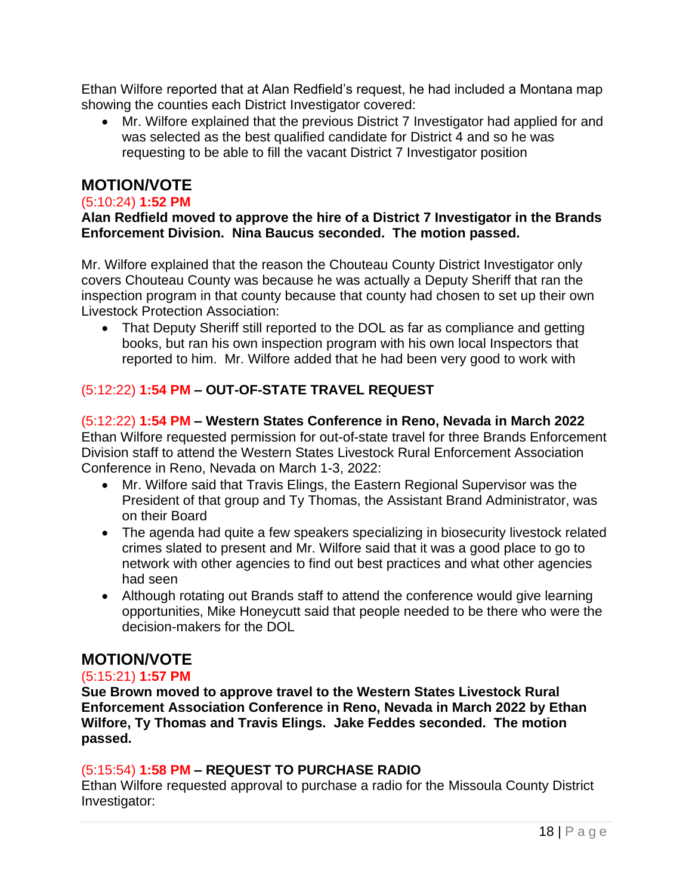Ethan Wilfore reported that at Alan Redfield's request, he had included a Montana map showing the counties each District Investigator covered:

• Mr. Wilfore explained that the previous District 7 Investigator had applied for and was selected as the best qualified candidate for District 4 and so he was requesting to be able to fill the vacant District 7 Investigator position

# **MOTION/VOTE**

#### (5:10:24) **1:52 PM**

#### **Alan Redfield moved to approve the hire of a District 7 Investigator in the Brands Enforcement Division. Nina Baucus seconded. The motion passed.**

Mr. Wilfore explained that the reason the Chouteau County District Investigator only covers Chouteau County was because he was actually a Deputy Sheriff that ran the inspection program in that county because that county had chosen to set up their own Livestock Protection Association:

• That Deputy Sheriff still reported to the DOL as far as compliance and getting books, but ran his own inspection program with his own local Inspectors that reported to him. Mr. Wilfore added that he had been very good to work with

### (5:12:22) **1:54 PM – OUT-OF-STATE TRAVEL REQUEST**

#### (5:12:22) **1:54 PM – Western States Conference in Reno, Nevada in March 2022** Ethan Wilfore requested permission for out-of-state travel for three Brands Enforcement Division staff to attend the Western States Livestock Rural Enforcement Association Conference in Reno, Nevada on March 1-3, 2022:

- Mr. Wilfore said that Travis Elings, the Eastern Regional Supervisor was the President of that group and Ty Thomas, the Assistant Brand Administrator, was on their Board
- The agenda had quite a few speakers specializing in biosecurity livestock related crimes slated to present and Mr. Wilfore said that it was a good place to go to network with other agencies to find out best practices and what other agencies had seen
- Although rotating out Brands staff to attend the conference would give learning opportunities, Mike Honeycutt said that people needed to be there who were the decision-makers for the DOL

# **MOTION/VOTE**

### (5:15:21) **1:57 PM**

**Sue Brown moved to approve travel to the Western States Livestock Rural Enforcement Association Conference in Reno, Nevada in March 2022 by Ethan Wilfore, Ty Thomas and Travis Elings. Jake Feddes seconded. The motion passed.**

### (5:15:54) **1:58 PM – REQUEST TO PURCHASE RADIO**

Ethan Wilfore requested approval to purchase a radio for the Missoula County District Investigator: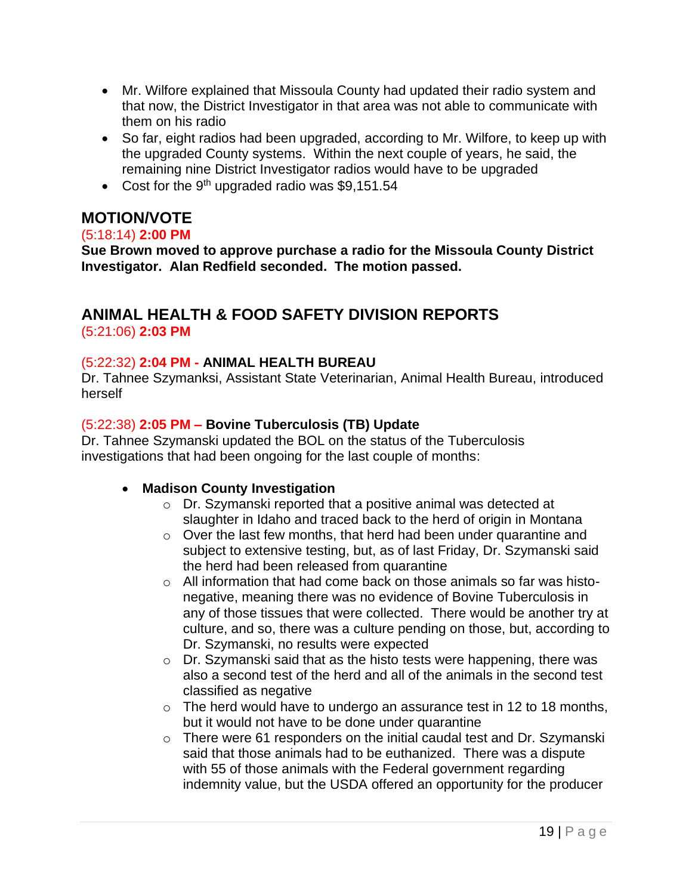- Mr. Wilfore explained that Missoula County had updated their radio system and that now, the District Investigator in that area was not able to communicate with them on his radio
- So far, eight radios had been upgraded, according to Mr. Wilfore, to keep up with the upgraded County systems. Within the next couple of years, he said, the remaining nine District Investigator radios would have to be upgraded
- Cost for the 9<sup>th</sup> upgraded radio was \$9,151.54

# **MOTION/VOTE**

#### (5:18:14) **2:00 PM**

**Sue Brown moved to approve purchase a radio for the Missoula County District Investigator. Alan Redfield seconded. The motion passed.**

# **ANIMAL HEALTH & FOOD SAFETY DIVISION REPORTS** (5:21:06) **2:03 PM**

### (5:22:32) **2:04 PM - ANIMAL HEALTH BUREAU**

Dr. Tahnee Szymanksi, Assistant State Veterinarian, Animal Health Bureau, introduced herself

### (5:22:38) **2:05 PM – Bovine Tuberculosis (TB) Update**

Dr. Tahnee Szymanski updated the BOL on the status of the Tuberculosis investigations that had been ongoing for the last couple of months:

### • **Madison County Investigation**

- o Dr. Szymanski reported that a positive animal was detected at slaughter in Idaho and traced back to the herd of origin in Montana
- o Over the last few months, that herd had been under quarantine and subject to extensive testing, but, as of last Friday, Dr. Szymanski said the herd had been released from quarantine
- o All information that had come back on those animals so far was histonegative, meaning there was no evidence of Bovine Tuberculosis in any of those tissues that were collected. There would be another try at culture, and so, there was a culture pending on those, but, according to Dr. Szymanski, no results were expected
- o Dr. Szymanski said that as the histo tests were happening, there was also a second test of the herd and all of the animals in the second test classified as negative
- $\circ$  The herd would have to undergo an assurance test in 12 to 18 months, but it would not have to be done under quarantine
- o There were 61 responders on the initial caudal test and Dr. Szymanski said that those animals had to be euthanized. There was a dispute with 55 of those animals with the Federal government regarding indemnity value, but the USDA offered an opportunity for the producer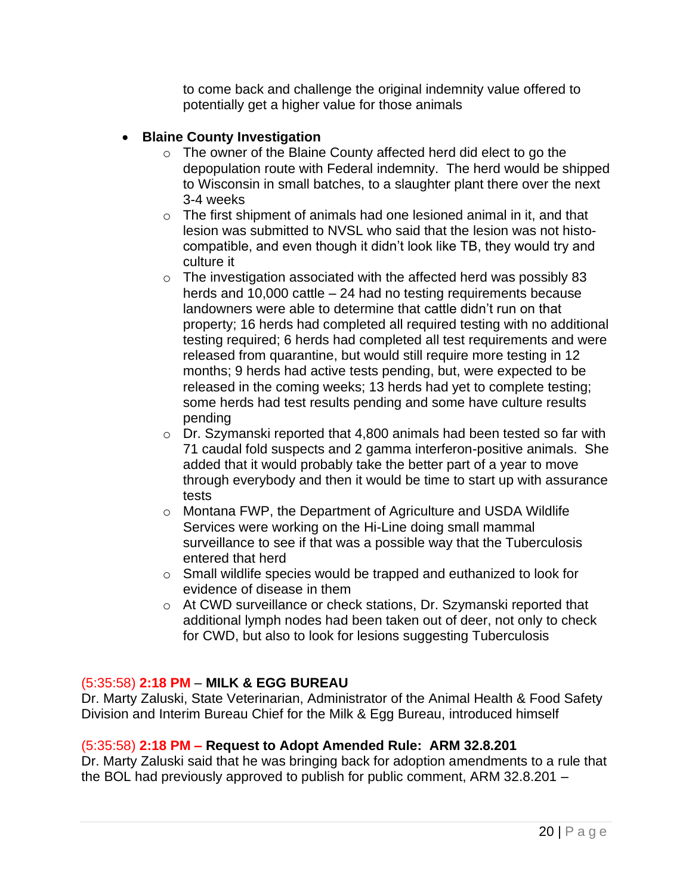to come back and challenge the original indemnity value offered to potentially get a higher value for those animals

### • **Blaine County Investigation**

- o The owner of the Blaine County affected herd did elect to go the depopulation route with Federal indemnity. The herd would be shipped to Wisconsin in small batches, to a slaughter plant there over the next 3-4 weeks
- $\circ$  The first shipment of animals had one lesioned animal in it, and that lesion was submitted to NVSL who said that the lesion was not histocompatible, and even though it didn't look like TB, they would try and culture it
- $\circ$  The investigation associated with the affected herd was possibly 83 herds and 10,000 cattle – 24 had no testing requirements because landowners were able to determine that cattle didn't run on that property; 16 herds had completed all required testing with no additional testing required; 6 herds had completed all test requirements and were released from quarantine, but would still require more testing in 12 months; 9 herds had active tests pending, but, were expected to be released in the coming weeks; 13 herds had yet to complete testing; some herds had test results pending and some have culture results pending
- o Dr. Szymanski reported that 4,800 animals had been tested so far with 71 caudal fold suspects and 2 gamma interferon-positive animals. She added that it would probably take the better part of a year to move through everybody and then it would be time to start up with assurance tests
- o Montana FWP, the Department of Agriculture and USDA Wildlife Services were working on the Hi-Line doing small mammal surveillance to see if that was a possible way that the Tuberculosis entered that herd
- o Small wildlife species would be trapped and euthanized to look for evidence of disease in them
- o At CWD surveillance or check stations, Dr. Szymanski reported that additional lymph nodes had been taken out of deer, not only to check for CWD, but also to look for lesions suggesting Tuberculosis

#### (5:35:58) **2:18 PM** – **MILK & EGG BUREAU**

Dr. Marty Zaluski, State Veterinarian, Administrator of the Animal Health & Food Safety Division and Interim Bureau Chief for the Milk & Egg Bureau, introduced himself

#### (5:35:58) **2:18 PM – Request to Adopt Amended Rule: ARM 32.8.201**

Dr. Marty Zaluski said that he was bringing back for adoption amendments to a rule that the BOL had previously approved to publish for public comment, ARM 32.8.201 –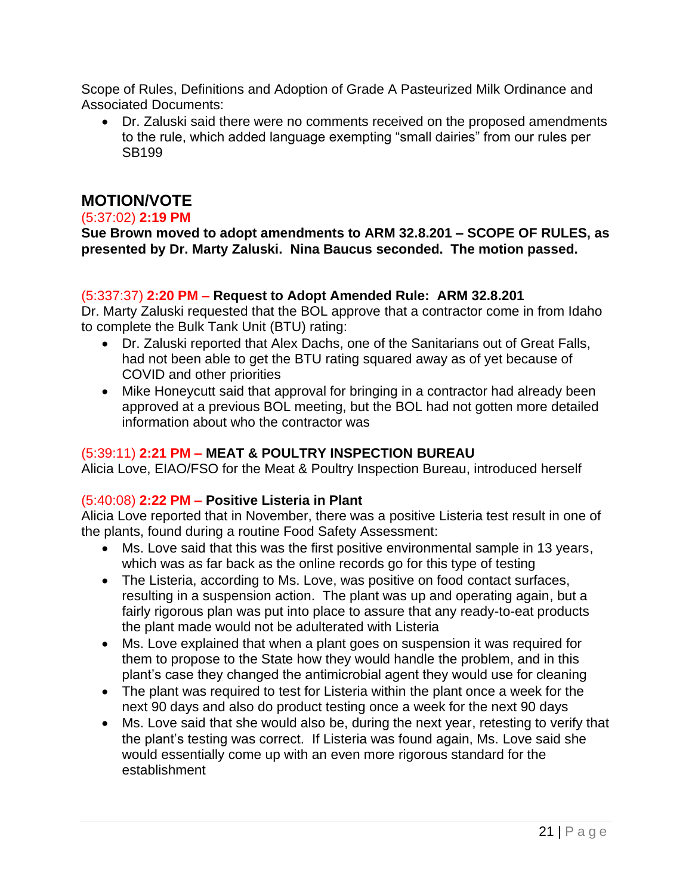Scope of Rules, Definitions and Adoption of Grade A Pasteurized Milk Ordinance and Associated Documents:

• Dr. Zaluski said there were no comments received on the proposed amendments to the rule, which added language exempting "small dairies" from our rules per SB199

# **MOTION/VOTE**

#### (5:37:02) **2:19 PM**

**Sue Brown moved to adopt amendments to ARM 32.8.201 – SCOPE OF RULES, as presented by Dr. Marty Zaluski. Nina Baucus seconded. The motion passed.**

#### (5:337:37) **2:20 PM – Request to Adopt Amended Rule: ARM 32.8.201**

Dr. Marty Zaluski requested that the BOL approve that a contractor come in from Idaho to complete the Bulk Tank Unit (BTU) rating:

- Dr. Zaluski reported that Alex Dachs, one of the Sanitarians out of Great Falls, had not been able to get the BTU rating squared away as of yet because of COVID and other priorities
- Mike Honeycutt said that approval for bringing in a contractor had already been approved at a previous BOL meeting, but the BOL had not gotten more detailed information about who the contractor was

#### (5:39:11) **2:21 PM – MEAT & POULTRY INSPECTION BUREAU**

Alicia Love, EIAO/FSO for the Meat & Poultry Inspection Bureau, introduced herself

#### (5:40:08) **2:22 PM – Positive Listeria in Plant**

Alicia Love reported that in November, there was a positive Listeria test result in one of the plants, found during a routine Food Safety Assessment:

- Ms. Love said that this was the first positive environmental sample in 13 years, which was as far back as the online records go for this type of testing
- The Listeria, according to Ms. Love, was positive on food contact surfaces, resulting in a suspension action. The plant was up and operating again, but a fairly rigorous plan was put into place to assure that any ready-to-eat products the plant made would not be adulterated with Listeria
- Ms. Love explained that when a plant goes on suspension it was required for them to propose to the State how they would handle the problem, and in this plant's case they changed the antimicrobial agent they would use for cleaning
- The plant was required to test for Listeria within the plant once a week for the next 90 days and also do product testing once a week for the next 90 days
- Ms. Love said that she would also be, during the next year, retesting to verify that the plant's testing was correct. If Listeria was found again, Ms. Love said she would essentially come up with an even more rigorous standard for the establishment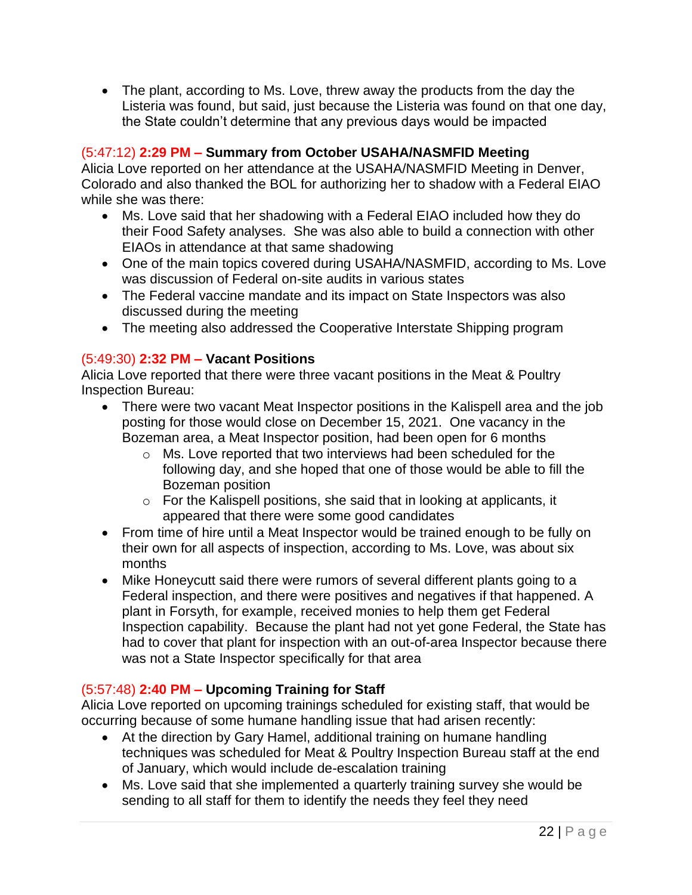• The plant, according to Ms. Love, threw away the products from the day the Listeria was found, but said, just because the Listeria was found on that one day, the State couldn't determine that any previous days would be impacted

### (5:47:12) **2:29 PM – Summary from October USAHA/NASMFID Meeting**

Alicia Love reported on her attendance at the USAHA/NASMFID Meeting in Denver, Colorado and also thanked the BOL for authorizing her to shadow with a Federal EIAO while she was there:

- Ms. Love said that her shadowing with a Federal EIAO included how they do their Food Safety analyses. She was also able to build a connection with other EIAOs in attendance at that same shadowing
- One of the main topics covered during USAHA/NASMFID, according to Ms. Love was discussion of Federal on-site audits in various states
- The Federal vaccine mandate and its impact on State Inspectors was also discussed during the meeting
- The meeting also addressed the Cooperative Interstate Shipping program

### (5:49:30) **2:32 PM – Vacant Positions**

Alicia Love reported that there were three vacant positions in the Meat & Poultry Inspection Bureau:

- There were two vacant Meat Inspector positions in the Kalispell area and the job posting for those would close on December 15, 2021. One vacancy in the Bozeman area, a Meat Inspector position, had been open for 6 months
	- o Ms. Love reported that two interviews had been scheduled for the following day, and she hoped that one of those would be able to fill the Bozeman position
	- o For the Kalispell positions, she said that in looking at applicants, it appeared that there were some good candidates
- From time of hire until a Meat Inspector would be trained enough to be fully on their own for all aspects of inspection, according to Ms. Love, was about six months
- Mike Honeycutt said there were rumors of several different plants going to a Federal inspection, and there were positives and negatives if that happened. A plant in Forsyth, for example, received monies to help them get Federal Inspection capability. Because the plant had not yet gone Federal, the State has had to cover that plant for inspection with an out-of-area Inspector because there was not a State Inspector specifically for that area

### (5:57:48) **2:40 PM – Upcoming Training for Staff**

Alicia Love reported on upcoming trainings scheduled for existing staff, that would be occurring because of some humane handling issue that had arisen recently:

- At the direction by Gary Hamel, additional training on humane handling techniques was scheduled for Meat & Poultry Inspection Bureau staff at the end of January, which would include de-escalation training
- Ms. Love said that she implemented a quarterly training survey she would be sending to all staff for them to identify the needs they feel they need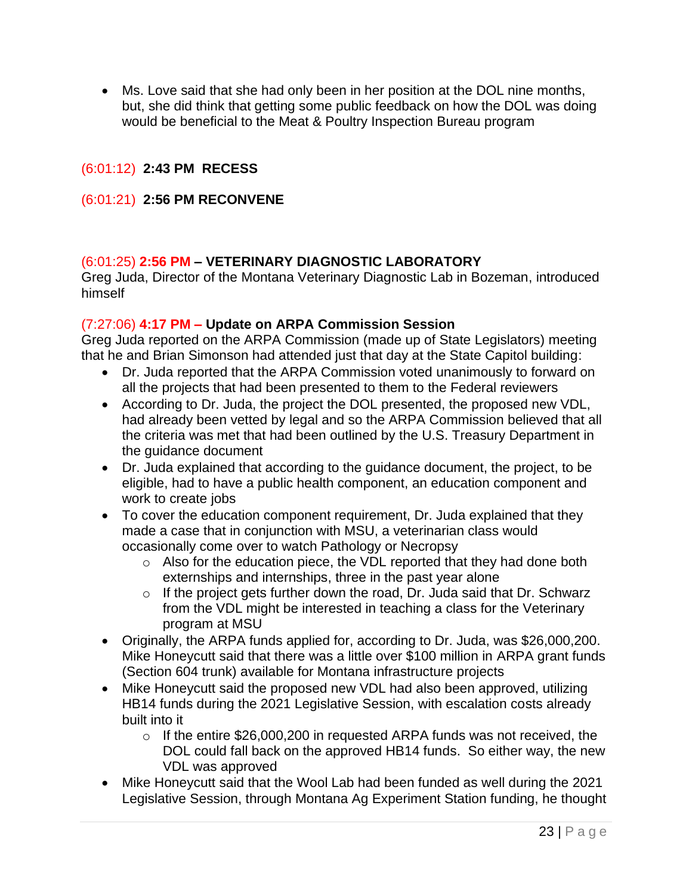• Ms. Love said that she had only been in her position at the DOL nine months, but, she did think that getting some public feedback on how the DOL was doing would be beneficial to the Meat & Poultry Inspection Bureau program

### (6:01:12) **2:43 PM RECESS**

#### (6:01:21) **2:56 PM RECONVENE**

#### (6:01:25) **2:56 PM – VETERINARY DIAGNOSTIC LABORATORY**

Greg Juda, Director of the Montana Veterinary Diagnostic Lab in Bozeman, introduced himself

#### (7:27:06) **4:17 PM – Update on ARPA Commission Session**

Greg Juda reported on the ARPA Commission (made up of State Legislators) meeting that he and Brian Simonson had attended just that day at the State Capitol building:

- Dr. Juda reported that the ARPA Commission voted unanimously to forward on all the projects that had been presented to them to the Federal reviewers
- According to Dr. Juda, the project the DOL presented, the proposed new VDL, had already been vetted by legal and so the ARPA Commission believed that all the criteria was met that had been outlined by the U.S. Treasury Department in the guidance document
- Dr. Juda explained that according to the guidance document, the project, to be eligible, had to have a public health component, an education component and work to create jobs
- To cover the education component requirement, Dr. Juda explained that they made a case that in conjunction with MSU, a veterinarian class would occasionally come over to watch Pathology or Necropsy
	- o Also for the education piece, the VDL reported that they had done both externships and internships, three in the past year alone
	- o If the project gets further down the road, Dr. Juda said that Dr. Schwarz from the VDL might be interested in teaching a class for the Veterinary program at MSU
- Originally, the ARPA funds applied for, according to Dr. Juda, was \$26,000,200. Mike Honeycutt said that there was a little over \$100 million in ARPA grant funds (Section 604 trunk) available for Montana infrastructure projects
- Mike Honeycutt said the proposed new VDL had also been approved, utilizing HB14 funds during the 2021 Legislative Session, with escalation costs already built into it
	- o If the entire \$26,000,200 in requested ARPA funds was not received, the DOL could fall back on the approved HB14 funds. So either way, the new VDL was approved
- Mike Honeycutt said that the Wool Lab had been funded as well during the 2021 Legislative Session, through Montana Ag Experiment Station funding, he thought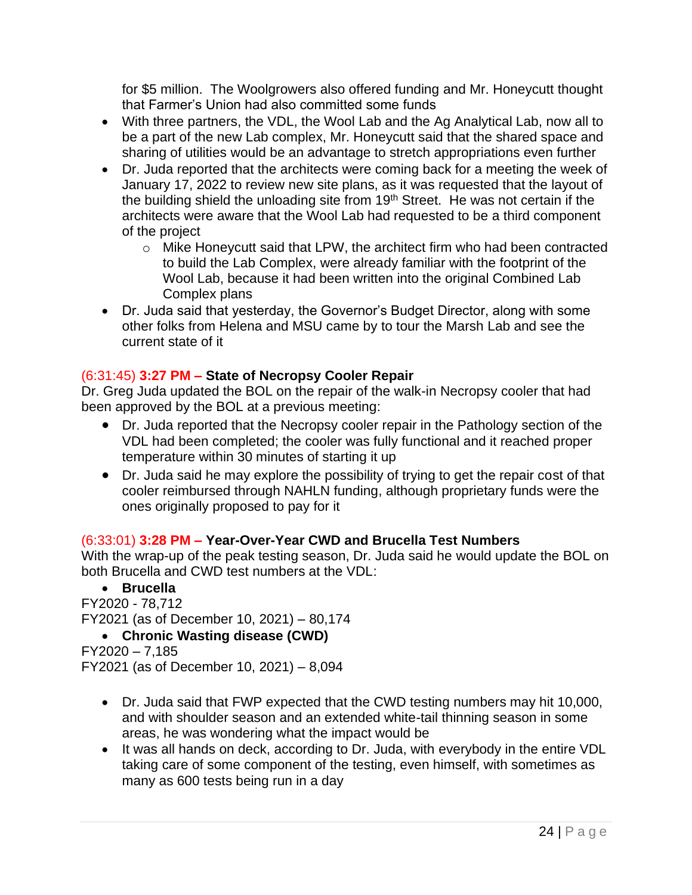for \$5 million. The Woolgrowers also offered funding and Mr. Honeycutt thought that Farmer's Union had also committed some funds

- With three partners, the VDL, the Wool Lab and the Ag Analytical Lab, now all to be a part of the new Lab complex, Mr. Honeycutt said that the shared space and sharing of utilities would be an advantage to stretch appropriations even further
- Dr. Juda reported that the architects were coming back for a meeting the week of January 17, 2022 to review new site plans, as it was requested that the layout of the building shield the unloading site from  $19<sup>th</sup>$  Street. He was not certain if the architects were aware that the Wool Lab had requested to be a third component of the project
	- o Mike Honeycutt said that LPW, the architect firm who had been contracted to build the Lab Complex, were already familiar with the footprint of the Wool Lab, because it had been written into the original Combined Lab Complex plans
- Dr. Juda said that yesterday, the Governor's Budget Director, along with some other folks from Helena and MSU came by to tour the Marsh Lab and see the current state of it

# (6:31:45) **3:27 PM – State of Necropsy Cooler Repair**

Dr. Greg Juda updated the BOL on the repair of the walk-in Necropsy cooler that had been approved by the BOL at a previous meeting:

- Dr. Juda reported that the Necropsy cooler repair in the Pathology section of the VDL had been completed; the cooler was fully functional and it reached proper temperature within 30 minutes of starting it up
- Dr. Juda said he may explore the possibility of trying to get the repair cost of that cooler reimbursed through NAHLN funding, although proprietary funds were the ones originally proposed to pay for it

# (6:33:01) **3:28 PM – Year-Over-Year CWD and Brucella Test Numbers**

With the wrap-up of the peak testing season, Dr. Juda said he would update the BOL on both Brucella and CWD test numbers at the VDL:

• **Brucella** FY2020 - 78,712 FY2021 (as of December 10, 2021) – 80,174 • **Chronic Wasting disease (CWD)**

FY2020 – 7,185 FY2021 (as of December 10, 2021) – 8,094

- Dr. Juda said that FWP expected that the CWD testing numbers may hit 10,000, and with shoulder season and an extended white-tail thinning season in some areas, he was wondering what the impact would be
- It was all hands on deck, according to Dr. Juda, with everybody in the entire VDL taking care of some component of the testing, even himself, with sometimes as many as 600 tests being run in a day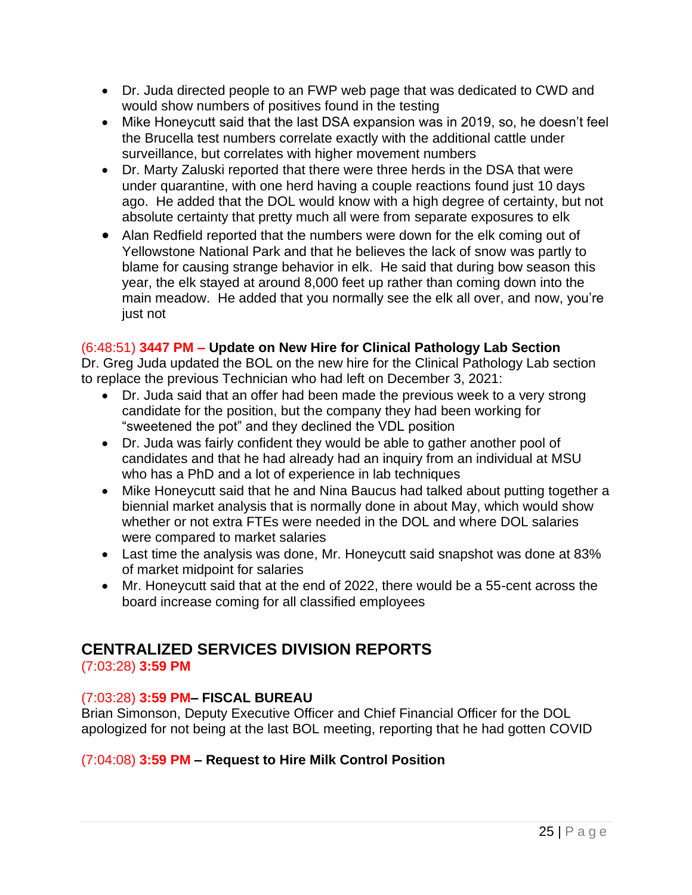- Dr. Juda directed people to an FWP web page that was dedicated to CWD and would show numbers of positives found in the testing
- Mike Honeycutt said that the last DSA expansion was in 2019, so, he doesn't feel the Brucella test numbers correlate exactly with the additional cattle under surveillance, but correlates with higher movement numbers
- Dr. Marty Zaluski reported that there were three herds in the DSA that were under quarantine, with one herd having a couple reactions found just 10 days ago. He added that the DOL would know with a high degree of certainty, but not absolute certainty that pretty much all were from separate exposures to elk
- Alan Redfield reported that the numbers were down for the elk coming out of Yellowstone National Park and that he believes the lack of snow was partly to blame for causing strange behavior in elk. He said that during bow season this year, the elk stayed at around 8,000 feet up rather than coming down into the main meadow. He added that you normally see the elk all over, and now, you're just not

### (6:48:51) **3447 PM – Update on New Hire for Clinical Pathology Lab Section**

Dr. Greg Juda updated the BOL on the new hire for the Clinical Pathology Lab section to replace the previous Technician who had left on December 3, 2021:

- Dr. Juda said that an offer had been made the previous week to a very strong candidate for the position, but the company they had been working for "sweetened the pot" and they declined the VDL position
- Dr. Juda was fairly confident they would be able to gather another pool of candidates and that he had already had an inquiry from an individual at MSU who has a PhD and a lot of experience in lab techniques
- Mike Honeycutt said that he and Nina Baucus had talked about putting together a biennial market analysis that is normally done in about May, which would show whether or not extra FTEs were needed in the DOL and where DOL salaries were compared to market salaries
- Last time the analysis was done, Mr. Honeycutt said snapshot was done at 83% of market midpoint for salaries
- Mr. Honeycutt said that at the end of 2022, there would be a 55-cent across the board increase coming for all classified employees

# **CENTRALIZED SERVICES DIVISION REPORTS**

(7:03:28) **3:59 PM**

# (7:03:28) **3:59 PM– FISCAL BUREAU**

Brian Simonson, Deputy Executive Officer and Chief Financial Officer for the DOL apologized for not being at the last BOL meeting, reporting that he had gotten COVID

# (7:04:08) **3:59 PM – Request to Hire Milk Control Position**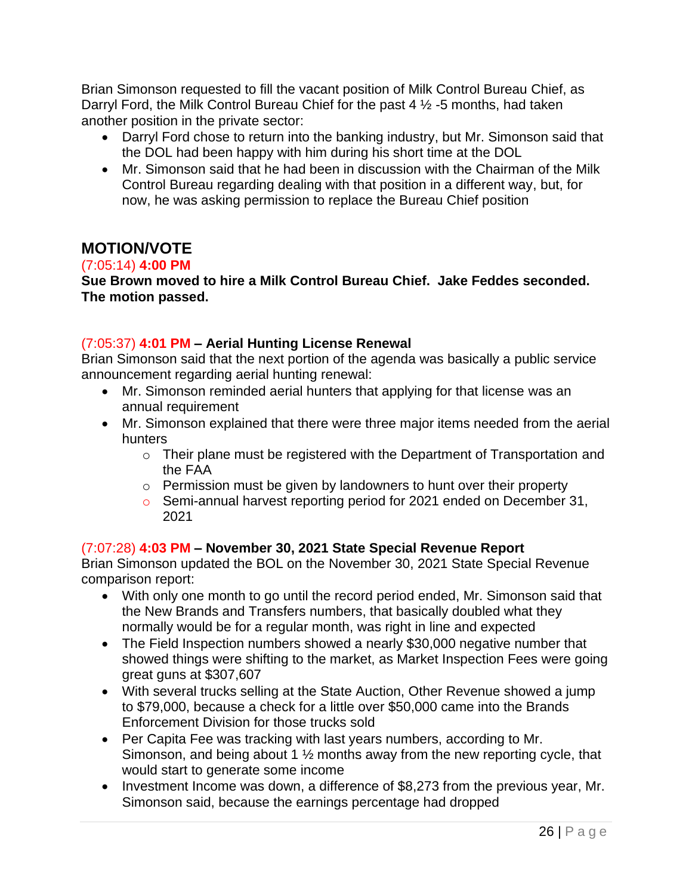Brian Simonson requested to fill the vacant position of Milk Control Bureau Chief, as Darryl Ford, the Milk Control Bureau Chief for the past 4 ½ -5 months, had taken another position in the private sector:

- Darryl Ford chose to return into the banking industry, but Mr. Simonson said that the DOL had been happy with him during his short time at the DOL
- Mr. Simonson said that he had been in discussion with the Chairman of the Milk Control Bureau regarding dealing with that position in a different way, but, for now, he was asking permission to replace the Bureau Chief position

# **MOTION/VOTE**

### (7:05:14) **4:00 PM**

**Sue Brown moved to hire a Milk Control Bureau Chief. Jake Feddes seconded. The motion passed.**

### (7:05:37) **4:01 PM – Aerial Hunting License Renewal**

Brian Simonson said that the next portion of the agenda was basically a public service announcement regarding aerial hunting renewal:

- Mr. Simonson reminded aerial hunters that applying for that license was an annual requirement
- Mr. Simonson explained that there were three major items needed from the aerial hunters
	- o Their plane must be registered with the Department of Transportation and the FAA
	- o Permission must be given by landowners to hunt over their property
	- o Semi-annual harvest reporting period for 2021 ended on December 31, 2021

#### (7:07:28) **4:03 PM – November 30, 2021 State Special Revenue Report**

Brian Simonson updated the BOL on the November 30, 2021 State Special Revenue comparison report:

- With only one month to go until the record period ended, Mr. Simonson said that the New Brands and Transfers numbers, that basically doubled what they normally would be for a regular month, was right in line and expected
- The Field Inspection numbers showed a nearly \$30,000 negative number that showed things were shifting to the market, as Market Inspection Fees were going great guns at \$307,607
- With several trucks selling at the State Auction, Other Revenue showed a jump to \$79,000, because a check for a little over \$50,000 came into the Brands Enforcement Division for those trucks sold
- Per Capita Fee was tracking with last years numbers, according to Mr. Simonson, and being about 1 ½ months away from the new reporting cycle, that would start to generate some income
- Investment Income was down, a difference of \$8,273 from the previous year, Mr. Simonson said, because the earnings percentage had dropped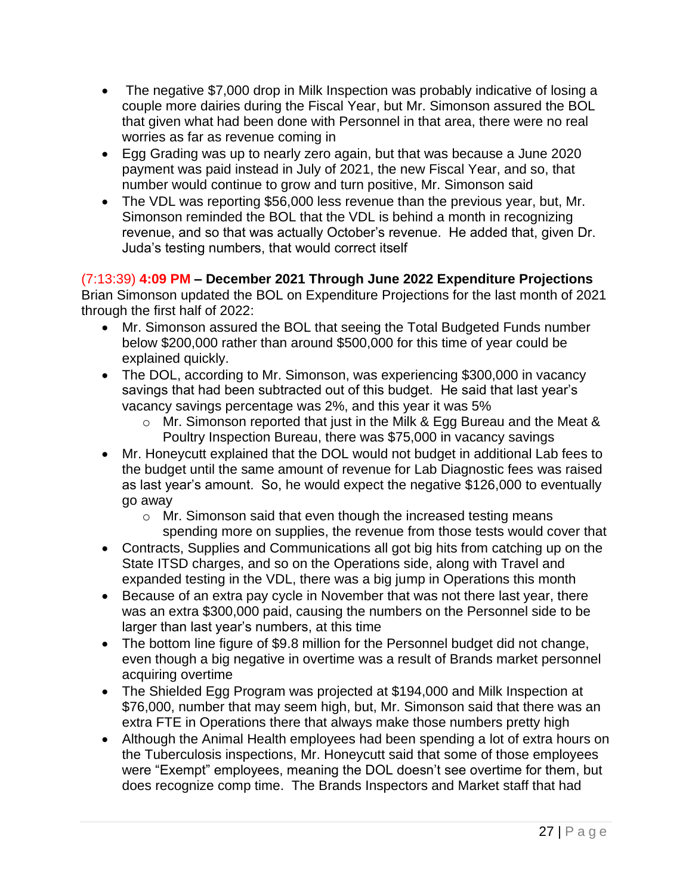- The negative \$7,000 drop in Milk Inspection was probably indicative of losing a couple more dairies during the Fiscal Year, but Mr. Simonson assured the BOL that given what had been done with Personnel in that area, there were no real worries as far as revenue coming in
- Egg Grading was up to nearly zero again, but that was because a June 2020 payment was paid instead in July of 2021, the new Fiscal Year, and so, that number would continue to grow and turn positive, Mr. Simonson said
- The VDL was reporting \$56,000 less revenue than the previous year, but, Mr. Simonson reminded the BOL that the VDL is behind a month in recognizing revenue, and so that was actually October's revenue. He added that, given Dr. Juda's testing numbers, that would correct itself

(7:13:39) **4:09 PM – December 2021 Through June 2022 Expenditure Projections** Brian Simonson updated the BOL on Expenditure Projections for the last month of 2021 through the first half of 2022:

- Mr. Simonson assured the BOL that seeing the Total Budgeted Funds number below \$200,000 rather than around \$500,000 for this time of year could be explained quickly.
- The DOL, according to Mr. Simonson, was experiencing \$300,000 in vacancy savings that had been subtracted out of this budget. He said that last year's vacancy savings percentage was 2%, and this year it was 5%
	- o Mr. Simonson reported that just in the Milk & Egg Bureau and the Meat & Poultry Inspection Bureau, there was \$75,000 in vacancy savings
- Mr. Honeycutt explained that the DOL would not budget in additional Lab fees to the budget until the same amount of revenue for Lab Diagnostic fees was raised as last year's amount. So, he would expect the negative \$126,000 to eventually go away
	- o Mr. Simonson said that even though the increased testing means spending more on supplies, the revenue from those tests would cover that
- Contracts, Supplies and Communications all got big hits from catching up on the State ITSD charges, and so on the Operations side, along with Travel and expanded testing in the VDL, there was a big jump in Operations this month
- Because of an extra pay cycle in November that was not there last year, there was an extra \$300,000 paid, causing the numbers on the Personnel side to be larger than last year's numbers, at this time
- The bottom line figure of \$9.8 million for the Personnel budget did not change, even though a big negative in overtime was a result of Brands market personnel acquiring overtime
- The Shielded Egg Program was projected at \$194,000 and Milk Inspection at \$76,000, number that may seem high, but, Mr. Simonson said that there was an extra FTE in Operations there that always make those numbers pretty high
- Although the Animal Health employees had been spending a lot of extra hours on the Tuberculosis inspections, Mr. Honeycutt said that some of those employees were "Exempt" employees, meaning the DOL doesn't see overtime for them, but does recognize comp time. The Brands Inspectors and Market staff that had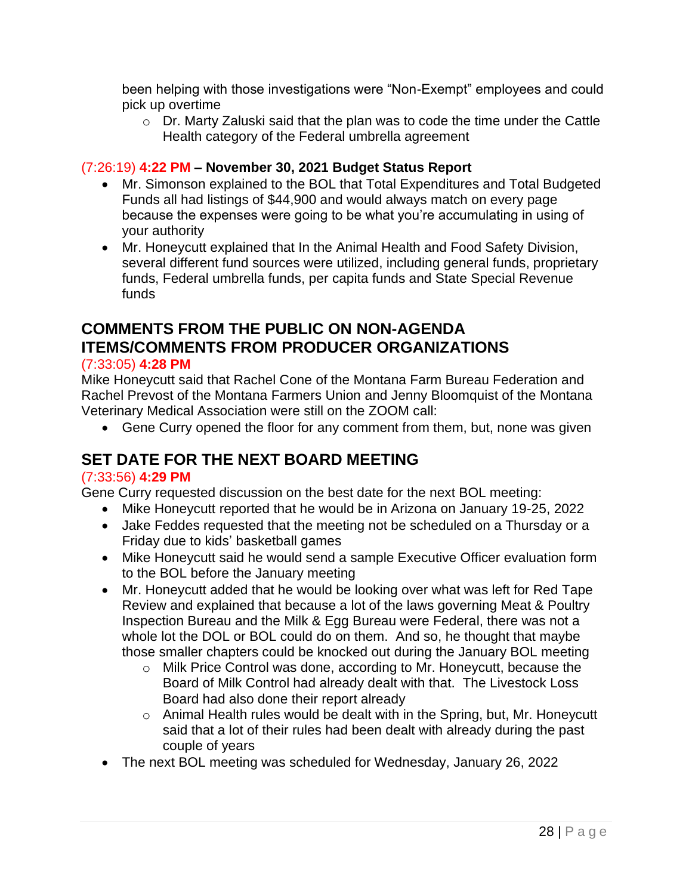been helping with those investigations were "Non-Exempt" employees and could pick up overtime

o Dr. Marty Zaluski said that the plan was to code the time under the Cattle Health category of the Federal umbrella agreement

# (7:26:19) **4:22 PM – November 30, 2021 Budget Status Report**

- Mr. Simonson explained to the BOL that Total Expenditures and Total Budgeted Funds all had listings of \$44,900 and would always match on every page because the expenses were going to be what you're accumulating in using of your authority
- Mr. Honeycutt explained that In the Animal Health and Food Safety Division, several different fund sources were utilized, including general funds, proprietary funds, Federal umbrella funds, per capita funds and State Special Revenue funds

# **COMMENTS FROM THE PUBLIC ON NON-AGENDA ITEMS/COMMENTS FROM PRODUCER ORGANIZATIONS**

### (7:33:05) **4:28 PM**

Mike Honeycutt said that Rachel Cone of the Montana Farm Bureau Federation and Rachel Prevost of the Montana Farmers Union and Jenny Bloomquist of the Montana Veterinary Medical Association were still on the ZOOM call:

• Gene Curry opened the floor for any comment from them, but, none was given

# **SET DATE FOR THE NEXT BOARD MEETING**

#### (7:33:56) **4:29 PM**

Gene Curry requested discussion on the best date for the next BOL meeting:

- Mike Honeycutt reported that he would be in Arizona on January 19-25, 2022
- Jake Feddes requested that the meeting not be scheduled on a Thursday or a Friday due to kids' basketball games
- Mike Honeycutt said he would send a sample Executive Officer evaluation form to the BOL before the January meeting
- Mr. Honeycutt added that he would be looking over what was left for Red Tape Review and explained that because a lot of the laws governing Meat & Poultry Inspection Bureau and the Milk & Egg Bureau were Federal, there was not a whole lot the DOL or BOL could do on them. And so, he thought that maybe those smaller chapters could be knocked out during the January BOL meeting
	- o Milk Price Control was done, according to Mr. Honeycutt, because the Board of Milk Control had already dealt with that. The Livestock Loss Board had also done their report already
	- o Animal Health rules would be dealt with in the Spring, but, Mr. Honeycutt said that a lot of their rules had been dealt with already during the past couple of years
- The next BOL meeting was scheduled for Wednesday, January 26, 2022